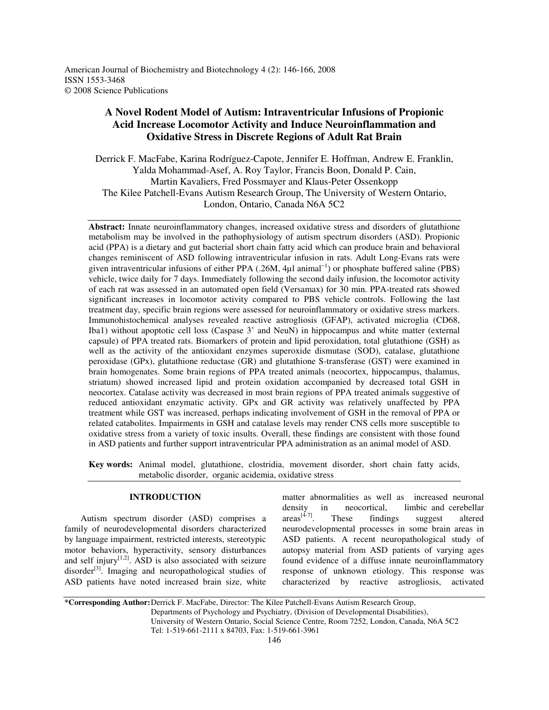# **A Novel Rodent Model of Autism: Intraventricular Infusions of Propionic Acid Increase Locomotor Activity and Induce Neuroinflammation and Oxidative Stress in Discrete Regions of Adult Rat Brain**

Derrick F. MacFabe, Karina Rodríguez-Capote, Jennifer E. Hoffman, Andrew E. Franklin, Yalda Mohammad-Asef, A. Roy Taylor, Francis Boon, Donald P. Cain, Martin Kavaliers, Fred Possmayer and Klaus-Peter Ossenkopp The Kilee Patchell-Evans Autism Research Group, The University of Western Ontario, London, Ontario, Canada N6A 5C2

**Abstract:** Innate neuroinflammatory changes, increased oxidative stress and disorders of glutathione metabolism may be involved in the pathophysiology of autism spectrum disorders (ASD). Propionic acid (PPA) is a dietary and gut bacterial short chain fatty acid which can produce brain and behavioral changes reminiscent of ASD following intraventricular infusion in rats. Adult Long-Evans rats were given intraventricular infusions of either PPA (.26M, 4 $\mu$ l animal<sup>-1</sup>) or phosphate buffered saline (PBS) vehicle, twice daily for 7 days. Immediately following the second daily infusion, the locomotor activity of each rat was assessed in an automated open field (Versamax) for 30 min. PPA-treated rats showed significant increases in locomotor activity compared to PBS vehicle controls. Following the last treatment day, specific brain regions were assessed for neuroinflammatory or oxidative stress markers. Immunohistochemical analyses revealed reactive astrogliosis (GFAP), activated microglia (CD68, Iba1) without apoptotic cell loss (Caspase 3' and NeuN) in hippocampus and white matter (external capsule) of PPA treated rats. Biomarkers of protein and lipid peroxidation, total glutathione (GSH) as well as the activity of the antioxidant enzymes superoxide dismutase (SOD), catalase, glutathione peroxidase (GPx), glutathione reductase (GR) and glutathione S-transferase (GST) were examined in brain homogenates. Some brain regions of PPA treated animals (neocortex, hippocampus, thalamus, striatum) showed increased lipid and protein oxidation accompanied by decreased total GSH in neocortex. Catalase activity was decreased in most brain regions of PPA treated animals suggestive of reduced antioxidant enzymatic activity. GPx and GR activity was relatively unaffected by PPA treatment while GST was increased, perhaps indicating involvement of GSH in the removal of PPA or related catabolites. Impairments in GSH and catalase levels may render CNS cells more susceptible to oxidative stress from a variety of toxic insults. Overall, these findings are consistent with those found in ASD patients and further support intraventricular PPA administration as an animal model of ASD.

**Key words:** Animal model, glutathione, clostridia, movement disorder, short chain fatty acids, metabolic disorder, organic acidemia, oxidative stress

### **INTRODUCTION**

Autism spectrum disorder (ASD) comprises a family of neurodevelopmental disorders characterized by language impairment, restricted interests, stereotypic motor behaviors, hyperactivity, sensory disturbances and self injury $[1,2]$ . ASD is also associated with seizure disorder<sup>[3]</sup>. Imaging and neuropathological studies of ASD patients have noted increased brain size, white matter abnormalities as well as increased neuronal in neocortical, limbic and cerebellar  $area<sup>[4-7]</sup>$ . These findings suggest altered neurodevelopmental processes in some brain areas in ASD patients. A recent neuropathological study of autopsy material from ASD patients of varying ages found evidence of a diffuse innate neuroinflammatory response of unknown etiology. This response was characterized by reactive astrogliosis, activated

**\*Corresponding Author:**Derrick F. MacFabe, Director: The Kilee Patchell-Evans Autism Research Group, Departments of Psychology and Psychiatry, (Division of Developmental Disabilities), University of Western Ontario, Social Science Centre, Room 7252, London, Canada, N6A 5C2

Tel: 1-519-661-2111 x 84703, Fax: 1-519-661-3961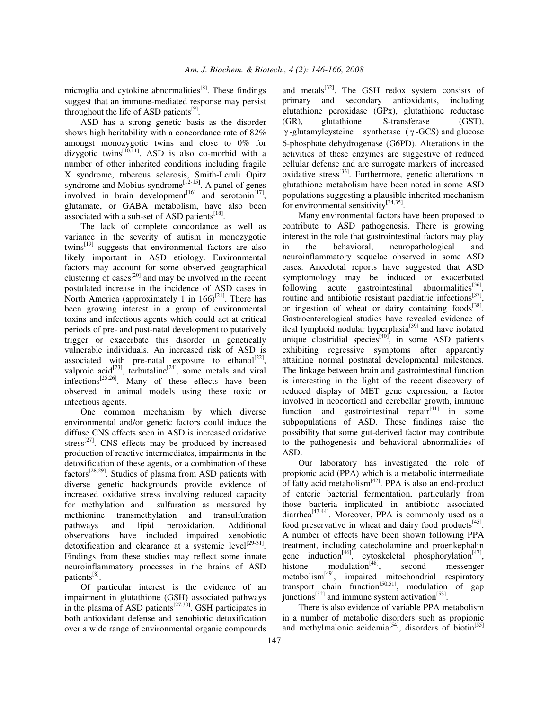microglia and cytokine abnormalities<sup>[8]</sup>. These findings suggest that an immune-mediated response may persist throughout the life of ASD patients<sup>[9]</sup>.

ASD has a strong genetic basis as the disorder shows high heritability with a concordance rate of 82% amongst monozygotic twins and close to 0% for dizygotic twins<sup>[10,11]</sup>. ASD is also co-morbid with a number of other inherited conditions including fragile X syndrome, tuberous sclerosis, Smith-Lemli Opitz syndrome and Mobius syndrome<sup>[12-15]</sup>. A panel of genes involved in brain development $[16]$  and serotonin $[17]$ , glutamate, or GABA metabolism, have also been associated with a sub-set of ASD patients<sup>[18]</sup>.

The lack of complete concordance as well as variance in the severity of autism in monozygotic twins<sup>[19]</sup> suggests that environmental factors are also likely important in ASD etiology. Environmental factors may account for some observed geographical clustering of cases<sup>[20]</sup> and may be involved in the recent postulated increase in the incidence of ASD cases in North America (approximately 1 in  $166$ )<sup>[21]</sup>. There has been growing interest in a group of environmental toxins and infectious agents which could act at critical periods of pre- and post-natal development to putatively trigger or exacerbate this disorder in genetically vulnerable individuals. An increased risk of ASD is associated with pre-natal exposure to ethanol<sup>[22]</sup>, valproic acid<sup>[23]</sup>, terbutaline<sup>[24]</sup>, some metals and viral infections<sup>[25,26]</sup>. Many of these effects have been observed in animal models using these toxic or infectious agents.

One common mechanism by which diverse environmental and/or genetic factors could induce the diffuse CNS effects seen in ASD is increased oxidative stress<sup>[27]</sup>. CNS effects may be produced by increased production of reactive intermediates, impairments in the detoxification of these agents, or a combination of these factors<sup>[28,29]</sup>. Studies of plasma from ASD patients with diverse genetic backgrounds provide evidence of increased oxidative stress involving reduced capacity for methylation and sulfuration as measured by methionine transmethylation and transulfuration pathways and lipid peroxidation. Additional observations have included impaired xenobiotic detoxification and clearance at a systemic level<sup>[29-31]</sup>. Findings from these studies may reflect some innate neuroinflammatory processes in the brains of ASD patients<sup>[8]</sup>.

Of particular interest is the evidence of an impairment in glutathione (GSH) associated pathways in the plasma of ASD patients<sup>[27,30]</sup>. GSH participates in both antioxidant defense and xenobiotic detoxification over a wide range of environmental organic compounds

and metals<sup>[32]</sup>. The GSH redox system consists of primary and secondary antioxidants, including glutathione peroxidase (GPx), glutathione reductase (GR), glutathione S-transferase (GST), γ -glutamylcysteine synthetase ( γ -GCS) and glucose 6-phosphate dehydrogenase (G6PD). Alterations in the activities of these enzymes are suggestive of reduced cellular defense and are surrogate markers of increased oxidative stress<sup>[33]</sup>. Furthermore, genetic alterations in glutathione metabolism have been noted in some ASD populations suggesting a plausible inherited mechanism for environmental sensitivity $^{[34,35]}$ .

Many environmental factors have been proposed to contribute to ASD pathogenesis. There is growing interest in the role that gastrointestinal factors may play in the behavioral, neuropathological and neuroinflammatory sequelae observed in some ASD cases. Anecdotal reports have suggested that ASD symptomology may be induced or exacerbated following acute gastrointestinal abnormalities<sup>[36]</sup>, routine and antibiotic resistant paediatric infections<sup>[37]</sup>, or ingestion of wheat or dairy containing foods<sup>[38]</sup>. Gastroenterological studies have revealed evidence of ileal lymphoid nodular hyperplasia<sup>[39]</sup> and have isolated unique clostridial species<sup>[40]</sup>, in some ASD patients exhibiting regressive symptoms after apparently attaining normal postnatal developmental milestones. The linkage between brain and gastrointestinal function is interesting in the light of the recent discovery of reduced display of MET gene expression, a factor involved in neocortical and cerebellar growth, immune function and gastrointestinal repair $[41]$  in some subpopulations of ASD. These findings raise the possibility that some gut-derived factor may contribute to the pathogenesis and behavioral abnormalities of ASD.

Our laboratory has investigated the role of propionic acid (PPA) which is a metabolic intermediate of fatty acid metabolism<sup>[42]</sup>. PPA is also an end-product of enteric bacterial fermentation, particularly from those bacteria implicated in antibiotic associated diarrhea<sup>[43,44]</sup>. Moreover, PPA is commonly used as a food preservative in wheat and dairy food products<sup>[45]</sup>. A number of effects have been shown following PPA treatment, including catecholamine and proenkephalin gene induction<sup>[46]</sup>, cytoskeletal phosphorylation<sup>[47]</sup>, histone modulation<sup>[48]</sup> , second messenger metabolism<sup>[49]</sup>, impaired mitochondrial respiratory transport chain function<sup>[50,51]</sup>, modulation of gap junctions<sup>[52]</sup> and immune system activation<sup>[53]</sup>.

There is also evidence of variable PPA metabolism in a number of metabolic disorders such as propionic and methylmalonic acidemia<sup>[54]</sup>, disorders of biotin<sup>[55]</sup>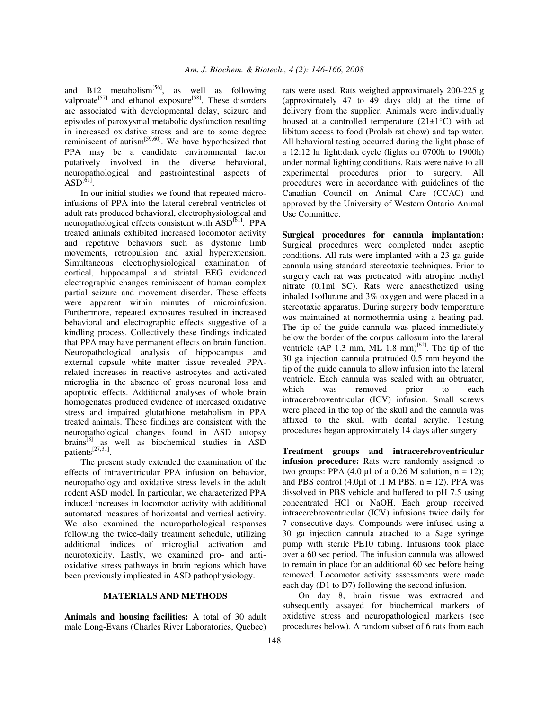and B12 metabolism $^{[56]}$ , as well as following valproate<sup>[57]</sup> and ethanol exposure<sup>[58]</sup>. These disorders are associated with developmental delay, seizure and episodes of paroxysmal metabolic dysfunction resulting in increased oxidative stress and are to some degree reminiscent of autism<sup>[59,60]</sup>. We have hypothesized that PPA may be a candidate environmental factor putatively involved in the diverse behavioral, neuropathological and gastrointestinal aspects of  $\text{ASD}^{[61]}.$ 

In our initial studies we found that repeated microinfusions of PPA into the lateral cerebral ventricles of adult rats produced behavioral, electrophysiological and neuropathological effects consistent with ASD<sup>[61]</sup>. PPA treated animals exhibited increased locomotor activity and repetitive behaviors such as dystonic limb movements, retropulsion and axial hyperextension. Simultaneous electrophysiological examination of cortical, hippocampal and striatal EEG evidenced electrographic changes reminiscent of human complex partial seizure and movement disorder. These effects were apparent within minutes of microinfusion. Furthermore, repeated exposures resulted in increased behavioral and electrographic effects suggestive of a kindling process. Collectively these findings indicated that PPA may have permanent effects on brain function. Neuropathological analysis of hippocampus and external capsule white matter tissue revealed PPArelated increases in reactive astrocytes and activated microglia in the absence of gross neuronal loss and apoptotic effects. Additional analyses of whole brain homogenates produced evidence of increased oxidative stress and impaired glutathione metabolism in PPA treated animals. These findings are consistent with the neuropathological changes found in ASD autopsy brains<sup>[8]</sup> as well as biochemical studies in ASD patients<sup>[27,31]</sup>.

The present study extended the examination of the effects of intraventricular PPA infusion on behavior, neuropathology and oxidative stress levels in the adult rodent ASD model. In particular, we characterized PPA induced increases in locomotor activity with additional automated measures of horizontal and vertical activity. We also examined the neuropathological responses following the twice-daily treatment schedule, utilizing additional indices of microglial activation and neurotoxicity. Lastly, we examined pro- and antioxidative stress pathways in brain regions which have been previously implicated in ASD pathophysiology.

### **MATERIALS AND METHODS**

**Animals and housing facilities:** A total of 30 adult male Long-Evans (Charles River Laboratories, Quebec) rats were used. Rats weighed approximately 200-225 g (approximately 47 to 49 days old) at the time of delivery from the supplier. Animals were individually housed at a controlled temperature  $(21\pm1\degree C)$  with ad libitum access to food (Prolab rat chow) and tap water. All behavioral testing occurred during the light phase of a 12:12 hr light:dark cycle (lights on 0700h to 1900h) under normal lighting conditions. Rats were naive to all experimental procedures prior to surgery. All procedures were in accordance with guidelines of the Canadian Council on Animal Care (CCAC) and approved by the University of Western Ontario Animal Use Committee.

**Surgical procedures for cannula implantation:** Surgical procedures were completed under aseptic conditions. All rats were implanted with a 23 ga guide cannula using standard stereotaxic techniques. Prior to surgery each rat was pretreated with atropine methyl nitrate (0.1ml SC). Rats were anaesthetized using inhaled Isoflurane and 3% oxygen and were placed in a stereotaxic apparatus. During surgery body temperature was maintained at normothermia using a heating pad. The tip of the guide cannula was placed immediately below the border of the corpus callosum into the lateral ventricle (AP 1.3 mm, ML 1.8 mm)<sup>[62]</sup>. The tip of the 30 ga injection cannula protruded 0.5 mm beyond the tip of the guide cannula to allow infusion into the lateral ventricle. Each cannula was sealed with an obtruator, which was removed prior to each intracerebroventricular (ICV) infusion. Small screws were placed in the top of the skull and the cannula was affixed to the skull with dental acrylic. Testing procedures began approximately 14 days after surgery.

**Treatment groups and intracerebroventricular infusion procedure:** Rats were randomly assigned to two groups: PPA  $(4.0 \mu l \text{ of a } 0.26 \text{ M} \text{ solution}, n = 12)$ ; and PBS control  $(4.0\mu$ l of .1 M PBS, n = 12). PPA was dissolved in PBS vehicle and buffered to pH 7.5 using concentrated HCl or NaOH. Each group received intracerebroventricular (ICV) infusions twice daily for 7 consecutive days. Compounds were infused using a 30 ga injection cannula attached to a Sage syringe pump with sterile PE10 tubing. Infusions took place over a 60 sec period. The infusion cannula was allowed to remain in place for an additional 60 sec before being removed. Locomotor activity assessments were made each day (D1 to D7) following the second infusion.

On day 8, brain tissue was extracted and subsequently assayed for biochemical markers of oxidative stress and neuropathological markers (see procedures below). A random subset of 6 rats from each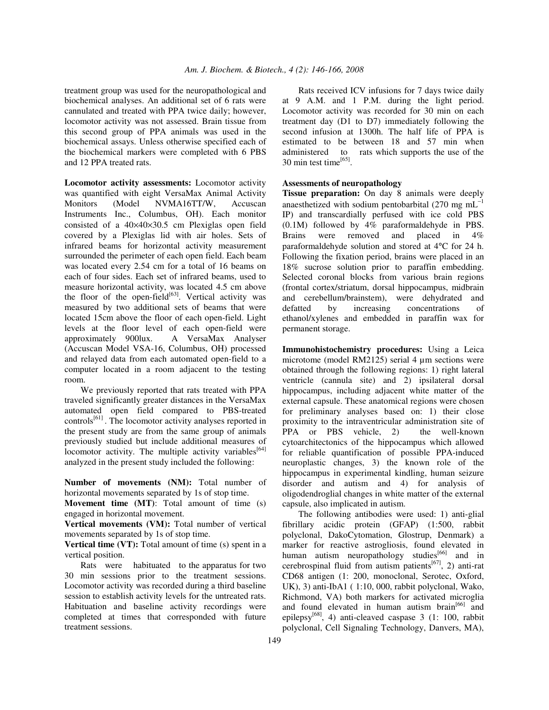treatment group was used for the neuropathological and biochemical analyses. An additional set of 6 rats were cannulated and treated with PPA twice daily; however, locomotor activity was not assessed. Brain tissue from this second group of PPA animals was used in the biochemical assays. Unless otherwise specified each of the biochemical markers were completed with 6 PBS and 12 PPA treated rats.

**Locomotor activity assessments:** Locomotor activity was quantified with eight VersaMax Animal Activity Monitors (Model NVMA16TT/W, Accuscan Instruments Inc., Columbus, OH). Each monitor consisted of a 40×40×30.5 cm Plexiglas open field covered by a Plexiglas lid with air holes. Sets of infrared beams for horizontal activity measurement surrounded the perimeter of each open field. Each beam was located every 2.54 cm for a total of 16 beams on each of four sides. Each set of infrared beams, used to measure horizontal activity, was located 4.5 cm above the floor of the open-field<sup>[63]</sup>. Vertical activity was measured by two additional sets of beams that were located 15cm above the floor of each open-field. Light levels at the floor level of each open-field were approximately 900lux. A VersaMax Analyser (Accuscan Model VSA-16, Columbus, OH) processed and relayed data from each automated open-field to a computer located in a room adjacent to the testing room.

We previously reported that rats treated with PPA traveled significantly greater distances in the VersaMax automated open field compared to PBS-treated controls<sup>[61]</sup>. The locomotor activity analyses reported in the present study are from the same group of animals previously studied but include additional measures of locomotor activity. The multiple activity variables<sup>[64]</sup> analyzed in the present study included the following:

**Number of movements (NM):** Total number of horizontal movements separated by 1s of stop time.

**Movement time (MT)**: Total amount of time (s) engaged in horizontal movement.

**Vertical movements (VM):** Total number of vertical movements separated by 1s of stop time.

**Vertical time (VT):** Total amount of time (s) spent in a vertical position.

Rats were habituated to the apparatus for two 30 min sessions prior to the treatment sessions. Locomotor activity was recorded during a third baseline session to establish activity levels for the untreated rats. Habituation and baseline activity recordings were completed at times that corresponded with future treatment sessions.

Rats received ICV infusions for 7 days twice daily at 9 A.M. and 1 P.M. during the light period. Locomotor activity was recorded for 30 min on each treatment day (D1 to D7) immediately following the second infusion at 1300h. The half life of PPA is estimated to be between 18 and 57 min when administered to rats which supports the use of the 30 min test time [65] .

### **Assessments of neuropathology**

**Tissue preparation:** On day 8 animals were deeply anaesthetized with sodium pentobarbital  $(270 \text{ mg } \text{mL}^{-1})$ IP) and transcardially perfused with ice cold PBS (0.1M) followed by 4% paraformaldehyde in PBS.<br>Brains were removed and placed in  $4\%$ Brains were removed and placed in 4% paraformaldehyde solution and stored at 4°C for 24 h. Following the fixation period, brains were placed in an 18% sucrose solution prior to paraffin embedding. Selected coronal blocks from various brain regions (frontal cortex/striatum, dorsal hippocampus, midbrain and cerebellum/brainstem), were dehydrated and defatted by increasing concentrations of ethanol/xylenes and embedded in paraffin wax for permanent storage.

**Immunohistochemistry procedures:** Using a Leica microtome (model RM2125) serial 4  $\mu$ m sections were obtained through the following regions: 1) right lateral ventricle (cannula site) and 2) ipsilateral dorsal hippocampus, including adjacent white matter of the external capsule. These anatomical regions were chosen for preliminary analyses based on: 1) their close proximity to the intraventricular administration site of PPA or PBS vehicle, 2) the well-known cytoarchitectonics of the hippocampus which allowed for reliable quantification of possible PPA-induced neuroplastic changes, 3) the known role of the hippocampus in experimental kindling, human seizure disorder and autism and 4) for analysis of oligodendroglial changes in white matter of the external capsule, also implicated in autism.

The following antibodies were used: 1) anti-glial fibrillary acidic protein (GFAP) (1:500, rabbit polyclonal, DakoCytomation, Glostrup, Denmark) a marker for reactive astrogliosis, found elevated in human autism neuropathology studies<sup>[66]</sup> and in cerebrospinal fluid from autism patients<sup>[67]</sup>, 2) anti-rat CD68 antigen (1: 200, monoclonal, Serotec, Oxford, UK), 3) anti-IbA1 ( 1:10, 000, rabbit polyclonal, Wako, Richmond, VA) both markers for activated microglia and found elevated in human autism brain<sup>[66]</sup> and epilepsy<sup>[68]</sup>, 4) anti-cleaved caspase 3 (1: 100, rabbit polyclonal, Cell Signaling Technology, Danvers, MA),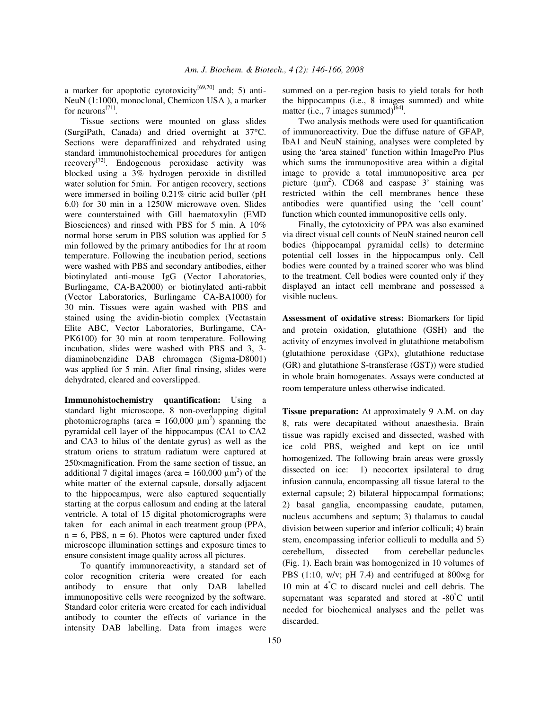a marker for apoptotic cytotoxicity $[69,70]$  and; 5) anti-NeuN (1:1000, monoclonal, Chemicon USA ), a marker for neurons<sup>[71]</sup>.

Tissue sections were mounted on glass slides (SurgiPath, Canada) and dried overnight at 37°C. Sections were deparaffinized and rehydrated using standard immunohistochemical procedures for antigen recovery<sup>[72]</sup>. Endogenous peroxidase activity was blocked using a 3% hydrogen peroxide in distilled water solution for 5min. For antigen recovery, sections were immersed in boiling 0.21% citric acid buffer (pH 6.0) for 30 min in a 1250W microwave oven. Slides were counterstained with Gill haematoxylin (EMD Biosciences) and rinsed with PBS for 5 min. A 10% normal horse serum in PBS solution was applied for 5 min followed by the primary antibodies for 1hr at room temperature. Following the incubation period, sections were washed with PBS and secondary antibodies, either biotinylated anti-mouse IgG (Vector Laboratories, Burlingame, CA-BA2000) or biotinylated anti-rabbit (Vector Laboratories, Burlingame CA-BA1000) for 30 min. Tissues were again washed with PBS and stained using the avidin-biotin complex (Vectastain Elite ABC, Vector Laboratories, Burlingame, CA-PK6100) for 30 min at room temperature. Following incubation, slides were washed with PBS and 3, 3 diaminobenzidine DAB chromagen (Sigma-D8001) was applied for 5 min. After final rinsing, slides were dehydrated, cleared and coverslipped.

**Immunohistochemistry quantification:** Using a standard light microscope, 8 non-overlapping digital photomicrographs (area =  $160,000 \mu m^2$ ) spanning the pyramidal cell layer of the hippocampus (CA1 to CA2 and CA3 to hilus of the dentate gyrus) as well as the stratum oriens to stratum radiatum were captured at 250×magnification. From the same section of tissue, an additional 7 digital images (area =  $160,000 \mu m^2$ ) of the white matter of the external capsule, dorsally adjacent to the hippocampus, were also captured sequentially starting at the corpus callosum and ending at the lateral ventricle. A total of 15 digital photomicrographs were taken for each animal in each treatment group (PPA,  $n = 6$ , PBS,  $n = 6$ ). Photos were captured under fixed microscope illumination settings and exposure times to ensure consistent image quality across all pictures.

To quantify immunoreactivity, a standard set of color recognition criteria were created for each antibody to ensure that only DAB labelled immunopositive cells were recognized by the software. Standard color criteria were created for each individual antibody to counter the effects of variance in the intensity DAB labelling. Data from images were

summed on a per-region basis to yield totals for both the hippocampus (i.e., 8 images summed) and white matter (i.e., 7 images summed) $^{[64]}$ .

Two analysis methods were used for quantification of immunoreactivity. Due the diffuse nature of GFAP, IbA1 and NeuN staining, analyses were completed by using the 'area stained' function within ImagePro Plus which sums the immunopositive area within a digital image to provide a total immunopositive area per picture  $(\mu m^2)$ . CD68 and caspase 3' staining was restricted within the cell membranes hence these antibodies were quantified using the 'cell count' function which counted immunopositive cells only.

Finally, the cytotoxicity of PPA was also examined via direct visual cell counts of NeuN stained neuron cell bodies (hippocampal pyramidal cells) to determine potential cell losses in the hippocampus only. Cell bodies were counted by a trained scorer who was blind to the treatment. Cell bodies were counted only if they displayed an intact cell membrane and possessed a visible nucleus.

**Assessment of oxidative stress:** Biomarkers for lipid and protein oxidation, glutathione (GSH) and the activity of enzymes involved in glutathione metabolism (glutathione peroxidase (GPx), glutathione reductase (GR) and glutathione S-transferase (GST)) were studied in whole brain homogenates. Assays were conducted at room temperature unless otherwise indicated.

**Tissue preparation:** At approximately 9 A.M. on day 8, rats were decapitated without anaesthesia. Brain tissue was rapidly excised and dissected, washed with ice cold PBS, weighed and kept on ice until homogenized. The following brain areas were grossly dissected on ice: 1) neocortex ipsilateral to drug infusion cannula, encompassing all tissue lateral to the external capsule; 2) bilateral hippocampal formations; 2) basal ganglia, encompassing caudate, putamen, nucleus accumbens and septum; 3) thalamus to caudal division between superior and inferior colliculi; 4) brain stem, encompassing inferior colliculi to medulla and 5) cerebellum, dissected from cerebellar peduncles (Fig. 1). Each brain was homogenized in 10 volumes of PBS  $(1:10, w/v; pH 7.4)$  and centrifuged at  $800 \times g$  for 10 min at 4 °C to discard nuclei and cell debris. The supernatant was separated and stored at -80°C until needed for biochemical analyses and the pellet was discarded.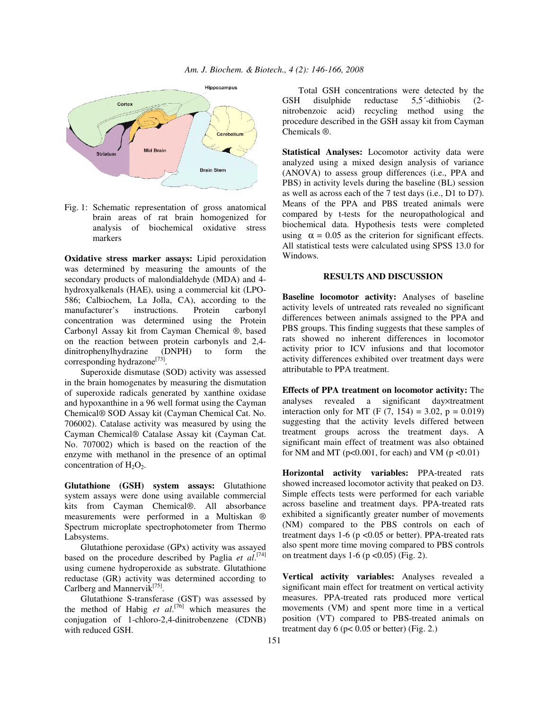

Fig. 1: Schematic representation of gross anatomical brain areas of rat brain homogenized for analysis of biochemical oxidative stress markers

**Oxidative stress marker assays:** Lipid peroxidation was determined by measuring the amounts of the secondary products of malondialdehyde (MDA) and 4 hydroxyalkenals (HAE), using a commercial kit (LPO-586; Calbiochem, La Jolla, CA), according to the manufacturer's instructions. Protein carbonyl concentration was determined using the Protein Carbonyl Assay kit from Cayman Chemical ®, based on the reaction between protein carbonyls and 2,4 dinitrophenylhydrazine (DNPH) to form the corresponding hydrazone<sup>[73]</sup>.

Superoxide dismutase (SOD) activity was assessed in the brain homogenates by measuring the dismutation of superoxide radicals generated by xanthine oxidase and hypoxanthine in a 96 well format using the Cayman Chemical® SOD Assay kit (Cayman Chemical Cat. No. 706002). Catalase activity was measured by using the Cayman Chemical® Catalase Assay kit (Cayman Cat. No. 707002) which is based on the reaction of the enzyme with methanol in the presence of an optimal concentration of  $H_2O_2$ .

**Glutathione (GSH) system assays:** Glutathione system assays were done using available commercial kits from Cayman Chemical®. All absorbance measurements were performed in a Multiskan ® Spectrum microplate spectrophotometer from Thermo Labsystems.

Glutathione peroxidase (GPx) activity was assayed based on the procedure described by Paglia *et al*. [74] using cumene hydroperoxide as substrate. Glutathione reductase (GR) activity was determined according to Carlberg and Mannervik<sup>[75]</sup>.

Glutathione S-transferase (GST) was assessed by the method of Habig *et al*. [76] which measures the conjugation of 1-chloro-2,4-dinitrobenzene (CDNB) with reduced GSH.

Total GSH concentrations were detected by the GSH disulphide reductase 5,5´-dithiobis (2 nitrobenzoic acid) recycling method using the procedure described in the GSH assay kit from Cayman Chemicals ®.

**Statistical Analyses:** Locomotor activity data were analyzed using a mixed design analysis of variance (ANOVA) to assess group differences (i.e., PPA and PBS) in activity levels during the baseline (BL) session as well as across each of the 7 test days (i.e., D1 to D7). Means of the PPA and PBS treated animals were compared by t-tests for the neuropathological and biochemical data. Hypothesis tests were completed using  $\alpha = 0.05$  as the criterion for significant effects. All statistical tests were calculated using SPSS 13.0 for Windows.

#### **RESULTS AND DISCUSSION**

**Baseline locomotor activity:** Analyses of baseline activity levels of untreated rats revealed no significant differences between animals assigned to the PPA and PBS groups. This finding suggests that these samples of rats showed no inherent differences in locomotor activity prior to ICV infusions and that locomotor activity differences exhibited over treatment days were attributable to PPA treatment.

**Effects of PPA treatment on locomotor activity:** The analyses revealed a significant day×treatment interaction only for MT (F  $(7, 154) = 3.02$ , p = 0.019) suggesting that the activity levels differed between treatment groups across the treatment days. A significant main effect of treatment was also obtained for NM and MT ( $p<0.001$ , for each) and VM ( $p < 0.01$ )

**Horizontal activity variables:** PPA-treated rats showed increased locomotor activity that peaked on D3. Simple effects tests were performed for each variable across baseline and treatment days. PPA-treated rats exhibited a significantly greater number of movements (NM) compared to the PBS controls on each of treatment days 1-6 ( $p$  <0.05 or better). PPA-treated rats also spent more time moving compared to PBS controls on treatment days 1-6 ( $p < 0.05$ ) (Fig. 2).

**Vertical activity variables:** Analyses revealed a significant main effect for treatment on vertical activity measures. PPA-treated rats produced more vertical movements (VM) and spent more time in a vertical position (VT) compared to PBS-treated animals on treatment day  $6$  ( $p < 0.05$  or better) (Fig. 2.)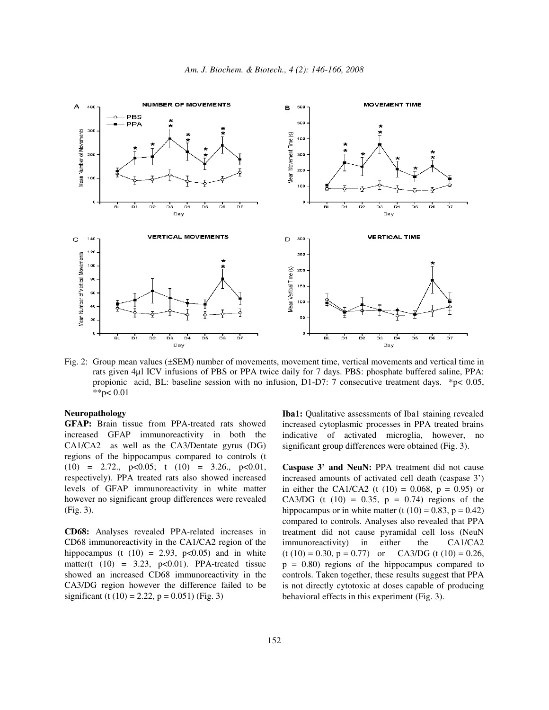

Fig. 2: Group mean values (±SEM) number of movements, movement time, vertical movements and vertical time in rats given 4µl ICV infusions of PBS or PPA twice daily for 7 days. PBS: phosphate buffered saline, PPA: propionic acid, BL: baseline session with no infusion, D1-D7: 7 consecutive treatment days. \*p< 0.05, \*\*p $< 0.01$ 

## **Neuropathology**

**GFAP:** Brain tissue from PPA-treated rats showed increased GFAP immunoreactivity in both the CA1/CA2 as well as the CA3/Dentate gyrus (DG) regions of the hippocampus compared to controls (t  $(10) = 2.72, p<0.05; t (10) = 3.26, p<0.01,$ respectively). PPA treated rats also showed increased levels of GFAP immunoreactivity in white matter however no significant group differences were revealed (Fig. 3).

**CD68:** Analyses revealed PPA-related increases in CD68 immunoreactivity in the CA1/CA2 region of the hippocampus (t  $(10) = 2.93$ ,  $p<0.05$ ) and in white matter(t  $(10) = 3.23$ ,  $p<0.01$ ). PPA-treated tissue showed an increased CD68 immunoreactivity in the CA3/DG region however the difference failed to be significant (t  $(10) = 2.22$ , p = 0.051) (Fig. 3)

**Iba1:** Qualitative assessments of Iba1 staining revealed increased cytoplasmic processes in PPA treated brains indicative of activated microglia, however, no significant group differences were obtained (Fig. 3).

**Caspase 3' and NeuN:** PPA treatment did not cause increased amounts of activated cell death (caspase 3') in either the CA1/CA2 (t  $(10) = 0.068$ , p = 0.95) or CA3/DG (t  $(10) = 0.35$ ,  $p = 0.74$ ) regions of the hippocampus or in white matter (t  $(10) = 0.83$ , p = 0.42) compared to controls. Analyses also revealed that PPA treatment did not cause pyramidal cell loss (NeuN immunoreactivity) in either the CA1/CA2  $(t (10) = 0.30, p = 0.77)$  or CA3/DG  $(t (10) = 0.26,$  $p = 0.80$ ) regions of the hippocampus compared to controls. Taken together, these results suggest that PPA is not directly cytotoxic at doses capable of producing behavioral effects in this experiment (Fig. 3).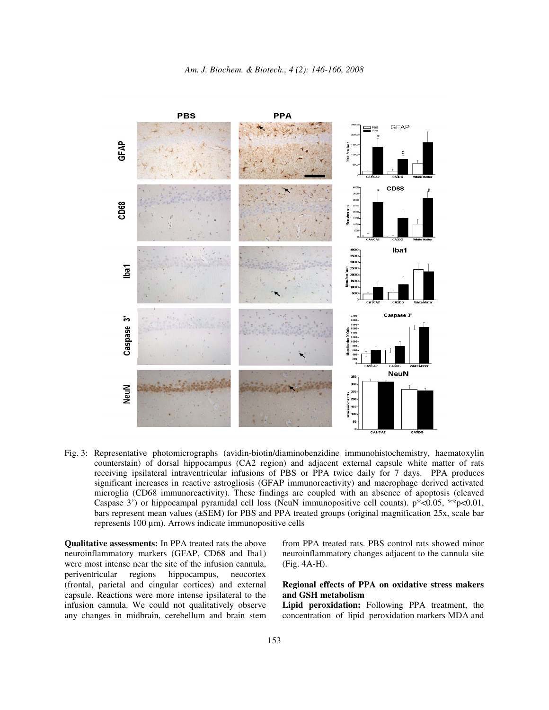

Fig. 3: Representative photomicrographs (avidin-biotin/diaminobenzidine immunohistochemistry, haematoxylin counterstain) of dorsal hippocampus (CA2 region) and adjacent external capsule white matter of rats receiving ipsilateral intraventricular infusions of PBS or PPA twice daily for 7 days. PPA produces significant increases in reactive astrogliosis (GFAP immunoreactivity) and macrophage derived activated microglia (CD68 immunoreactivity). These findings are coupled with an absence of apoptosis (cleaved Caspase 3') or hippocampal pyramidal cell loss (NeuN immunopositive cell counts).  $p^*$ <0.05, \*\*p<0.01, bars represent mean values (±SEM) for PBS and PPA treated groups (original magnification 25x, scale bar represents 100 µm). Arrows indicate immunopositive cells

**Qualitative assessments:** In PPA treated rats the above neuroinflammatory markers (GFAP, CD68 and Iba1) were most intense near the site of the infusion cannula, periventricular regions hippocampus, neocortex (frontal, parietal and cingular cortices) and external capsule. Reactions were more intense ipsilateral to the infusion cannula. We could not qualitatively observe any changes in midbrain, cerebellum and brain stem from PPA treated rats. PBS control rats showed minor neuroinflammatory changes adjacent to the cannula site (Fig. 4A-H).

### **Regional effects of PPA on oxidative stress makers and GSH metabolism**

**Lipid peroxidation:** Following PPA treatment, the concentration of lipid peroxidation markers MDA and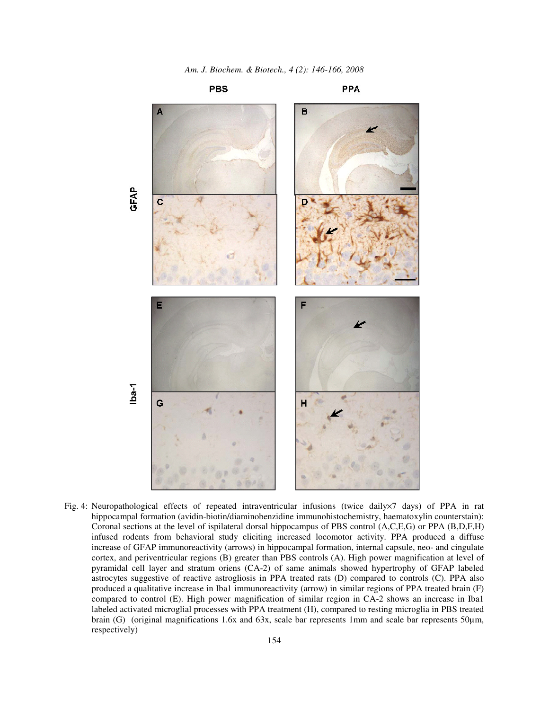

**PPA** 



Fig. 4: Neuropathological effects of repeated intraventricular infusions (twice daily×7 days) of PPA in rat hippocampal formation (avidin-biotin/diaminobenzidine immunohistochemistry, haematoxylin counterstain): Coronal sections at the level of ispilateral dorsal hippocampus of PBS control (A,C,E,G) or PPA (B,D,F,H) infused rodents from behavioral study eliciting increased locomotor activity. PPA produced a diffuse increase of GFAP immunoreactivity (arrows) in hippocampal formation, internal capsule, neo- and cingulate cortex, and periventricular regions (B) greater than PBS controls (A). High power magnification at level of pyramidal cell layer and stratum oriens (CA-2) of same animals showed hypertrophy of GFAP labeled astrocytes suggestive of reactive astrogliosis in PPA treated rats (D) compared to controls (C). PPA also produced a qualitative increase in Iba1 immunoreactivity (arrow) in similar regions of PPA treated brain (F) compared to control (E). High power magnification of similar region in CA-2 shows an increase in Iba1 labeled activated microglial processes with PPA treatment (H), compared to resting microglia in PBS treated brain (G) (original magnifications 1.6x and 63x, scale bar represents 1mm and scale bar represents 50µm, respectively)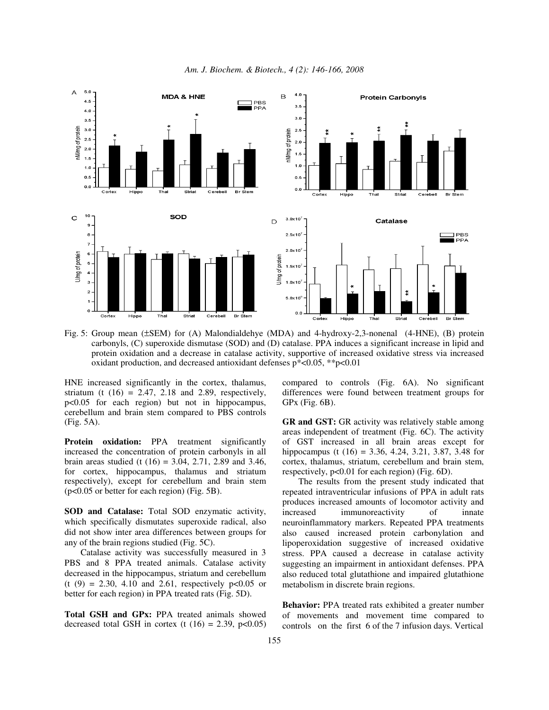

*Am. J. Biochem. & Biotech., 4 (2): 146-166, 2008*

Fig. 5: Group mean (±SEM) for (A) Malondialdehye (MDA) and 4-hydroxy-2,3-nonenal (4-HNE), (B) protein carbonyls, (C) superoxide dismutase (SOD) and (D) catalase. PPA induces a significant increase in lipid and protein oxidation and a decrease in catalase activity, supportive of increased oxidative stress via increased oxidant production, and decreased antioxidant defenses p\*<0.05, \*\*p<0.01

HNE increased significantly in the cortex, thalamus, striatum (t  $(16) = 2.47$ , 2.18 and 2.89, respectively, p<0.05 for each region) but not in hippocampus, cerebellum and brain stem compared to PBS controls (Fig. 5A).

**Protein oxidation:** PPA treatment significantly increased the concentration of protein carbonyls in all brain areas studied (t  $(16) = 3.04$ , 2.71, 2.89 and 3.46, for cortex, hippocampus, thalamus and striatum respectively), except for cerebellum and brain stem (p<0.05 or better for each region) (Fig. 5B).

**SOD and Catalase:** Total SOD enzymatic activity, which specifically dismutates superoxide radical, also did not show inter area differences between groups for any of the brain regions studied (Fig. 5C).

Catalase activity was successfully measured in 3 PBS and 8 PPA treated animals. Catalase activity decreased in the hippocampus, striatum and cerebellum (t  $(9) = 2.30, 4.10$  and 2.61, respectively p<0.05 or better for each region) in PPA treated rats (Fig. 5D).

**Total GSH and GPx:** PPA treated animals showed decreased total GSH in cortex (t  $(16) = 2.39$ ,  $p < 0.05$ ) compared to controls (Fig. 6A). No significant differences were found between treatment groups for GPx (Fig. 6B).

**GR and GST:** GR activity was relatively stable among areas independent of treatment (Fig. 6C). The activity of GST increased in all brain areas except for hippocampus (t  $(16) = 3.36, 4.24, 3.21, 3.87, 3.48$  for cortex, thalamus, striatum, cerebellum and brain stem, respectively, p<0.01 for each region) (Fig. 6D).

The results from the present study indicated that repeated intraventricular infusions of PPA in adult rats produces increased amounts of locomotor activity and increased immunoreactivity of innate neuroinflammatory markers. Repeated PPA treatments also caused increased protein carbonylation and lipoperoxidation suggestive of increased oxidative stress. PPA caused a decrease in catalase activity suggesting an impairment in antioxidant defenses. PPA also reduced total glutathione and impaired glutathione metabolism in discrete brain regions.

**Behavior:** PPA treated rats exhibited a greater number of movements and movement time compared to controls on the first 6 of the 7 infusion days. Vertical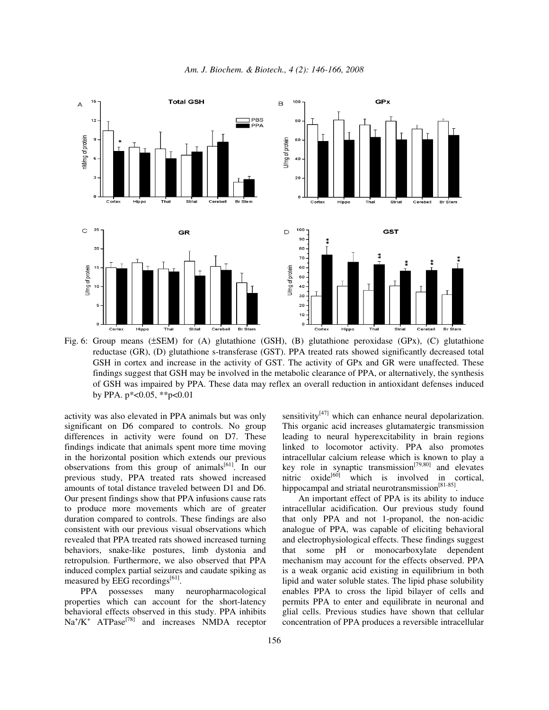

*Am. J. Biochem. & Biotech., 4 (2): 146-166, 2008*

Fig. 6: Group means (±SEM) for (A) glutathione (GSH), (B) glutathione peroxidase (GPx), (C) glutathione reductase (GR), (D) glutathione s-transferase (GST). PPA treated rats showed significantly decreased total GSH in cortex and increase in the activity of GST. The activity of GPx and GR were unaffected. These findings suggest that GSH may be involved in the metabolic clearance of PPA, or alternatively, the synthesis of GSH was impaired by PPA. These data may reflex an overall reduction in antioxidant defenses induced by PPA. p\*<0.05, \*\*p<0.01

activity was also elevated in PPA animals but was only significant on D6 compared to controls. No group differences in activity were found on D7. These findings indicate that animals spent more time moving in the horizontal position which extends our previous observations from this group of animals<sup>[61]</sup>. In our previous study, PPA treated rats showed increased amounts of total distance traveled between D1 and D6. Our present findings show that PPA infusions cause rats to produce more movements which are of greater duration compared to controls. These findings are also consistent with our previous visual observations which revealed that PPA treated rats showed increased turning behaviors, snake-like postures, limb dystonia and retropulsion. Furthermore, we also observed that PPA induced complex partial seizures and caudate spiking as measured by EEG recordings<sup>[61]</sup>.

PPA possesses many neuropharmacological properties which can account for the short-latency behavioral effects observed in this study. PPA inhibits  $Na^+/K^+$  ATPase<sup>[78]</sup> and increases NMDA receptor

sensitivity<sup>[47]</sup> which can enhance neural depolarization. This organic acid increases glutamatergic transmission leading to neural hyperexcitability in brain regions linked to locomotor activity. PPA also promotes intracellular calcium release which is known to play a key role in synaptic transmission [79,80] and elevates nitric  $\alpha$ xide<sup>[60]</sup> which is involved in cortical, hippocampal and striatal neurotransmission<sup>[81-85]</sup>.

An important effect of PPA is its ability to induce intracellular acidification. Our previous study found that only PPA and not 1-propanol, the non-acidic analogue of PPA, was capable of eliciting behavioral and electrophysiological effects. These findings suggest that some pH or monocarboxylate dependent mechanism may account for the effects observed. PPA is a weak organic acid existing in equilibrium in both lipid and water soluble states. The lipid phase solubility enables PPA to cross the lipid bilayer of cells and permits PPA to enter and equilibrate in neuronal and glial cells. Previous studies have shown that cellular concentration of PPA produces a reversible intracellular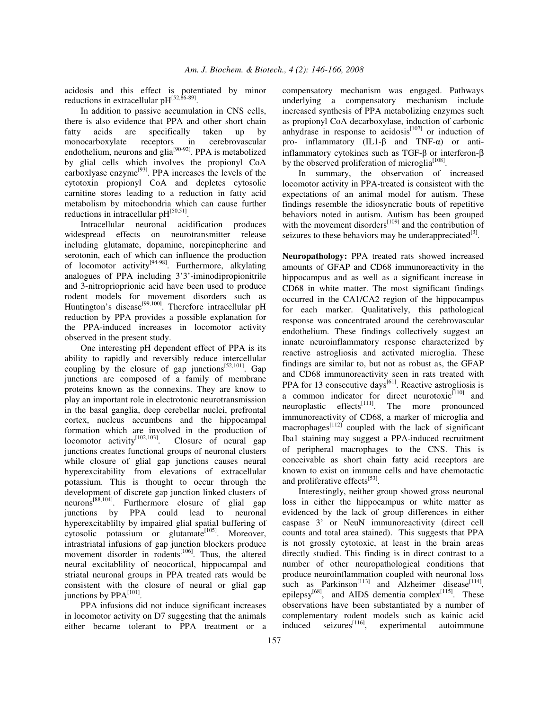acidosis and this effect is potentiated by minor reductions in extracellular pH<sup>[52,86-89]</sup>.

In addition to passive accumulation in CNS cells, there is also evidence that PPA and other short chain fatty acids are specifically taken up by monocarboxylate receptors in cerebrovascular endothelium, neurons and glia<sup>[90-92]</sup>. PPA is metabolized by glial cells which involves the propionyl CoA carboxlyase enzyme<sup>[93]</sup>. PPA increases the levels of the cytotoxin propionyl CoA and depletes cytosolic carnitine stores leading to a reduction in fatty acid metabolism by mitochondria which can cause further reductions in intracellular  $pH^{[50,51]}$ .

Intracellular neuronal acidification produces widespread effects on neurotransmitter release including glutamate, dopamine, norepinepherine and serotonin, each of which can influence the production of locomotor activity<sup>[94-98]</sup>. Furthermore, alkylating analogues of PPA including 3'3'-iminodipropionitrile and 3-nitroprioprionic acid have been used to produce rodent models for movement disorders such as Huntington's disease<sup>[99,100]</sup>. Therefore intracellular pH reduction by PPA provides a possible explanation for the PPA-induced increases in locomotor activity observed in the present study.

One interesting pH dependent effect of PPA is its ability to rapidly and reversibly reduce intercellular coupling by the closure of gap junctions  $[52, 101]$ . Gap junctions are composed of a family of membrane proteins known as the connexins. They are know to play an important role in electrotonic neurotransmission in the basal ganglia, deep cerebellar nuclei, prefrontal cortex, nucleus accumbens and the hippocampal formation which are involved in the production of locomotor activity<sup>[102,103]</sup> . Closure of neural gap junctions creates functional groups of neuronal clusters while closure of glial gap junctions causes neural hyperexcitability from elevations of extracellular potassium. This is thought to occur through the development of discrete gap junction linked clusters of neurons<sup>[88,104]</sup>. Furthermore closure of glial gap junctions by PPA could lead to neuronal hyperexcitablilty by impaired glial spatial buffering of cytosolic potassium or glutamate<sup>[105]</sup>. Moreover, intrastriatal infusions of gap junction blockers produce movement disorder in rodents<sup>[106]</sup>. Thus, the altered neural excitablility of neocortical, hippocampal and striatal neuronal groups in PPA treated rats would be consistent with the closure of neural or glial gap junctions by  $PPA^{[101]}$ .

PPA infusions did not induce significant increases in locomotor activity on D7 suggesting that the animals either became tolerant to PPA treatment or a compensatory mechanism was engaged. Pathways underlying a compensatory mechanism include increased synthesis of PPA metabolizing enzymes such as propionyl CoA decarboxylase, induction of carbonic anhydrase in response to acidosis $[107]$  or induction of pro- inflammatory  $(IL1-\beta$  and  $TNF-\alpha$  or antiinflammatory cytokines such as TGF- $\beta$  or interferon- $\beta$ by the observed proliferation of microglia<sup>[108]</sup>.

In summary, the observation of increased locomotor activity in PPA-treated is consistent with the expectations of an animal model for autism. These findings resemble the idiosyncratic bouts of repetitive behaviors noted in autism. Autism has been grouped with the movement disorders<sup>[109]</sup> and the contribution of seizures to these behaviors may be underappreciated $^{[3]}$ .

**Neuropathology:** PPA treated rats showed increased amounts of GFAP and CD68 immunoreactivity in the hippocampus and as well as a significant increase in CD68 in white matter. The most significant findings occurred in the CA1/CA2 region of the hippocampus for each marker. Qualitatively, this pathological response was concentrated around the cerebrovascular endothelium. These findings collectively suggest an innate neuroinflammatory response characterized by reactive astrogliosis and activated microglia. These findings are similar to, but not as robust as, the GFAP and CD68 immunoreactivity seen in rats treated with PPA for 13 consecutive days<sup>[61]</sup>. Reactive astrogliosis is a common indicator for direct neurotoxic $[110]$  and neuroplastic effects<sup>[111]</sup>. The more pronounced immunoreactivity of CD68, a marker of microglia and macrophages<sup>[112]</sup> coupled with the lack of significant Iba1 staining may suggest a PPA-induced recruitment of peripheral macrophages to the CNS. This is conceivable as short chain fatty acid receptors are known to exist on immune cells and have chemotactic and proliferative effects<sup>[53]</sup>.

Interestingly, neither group showed gross neuronal loss in either the hippocampus or white matter as evidenced by the lack of group differences in either caspase 3' or NeuN immunoreactivity (direct cell counts and total area stained). This suggests that PPA is not grossly cytotoxic, at least in the brain areas directly studied. This finding is in direct contrast to a number of other neuropathological conditions that produce neuroinflammation coupled with neuronal loss such as Parkinson<sup>[113]</sup> and Alzheimer disease<sup>[114]</sup>, epilepsy<sup>[68]</sup>, and AIDS dementia complex<sup>[115]</sup>. These observations have been substantiated by a number of complementary rodent models such as kainic acid induced seizures<sup>[116]</sup> , experimental autoimmune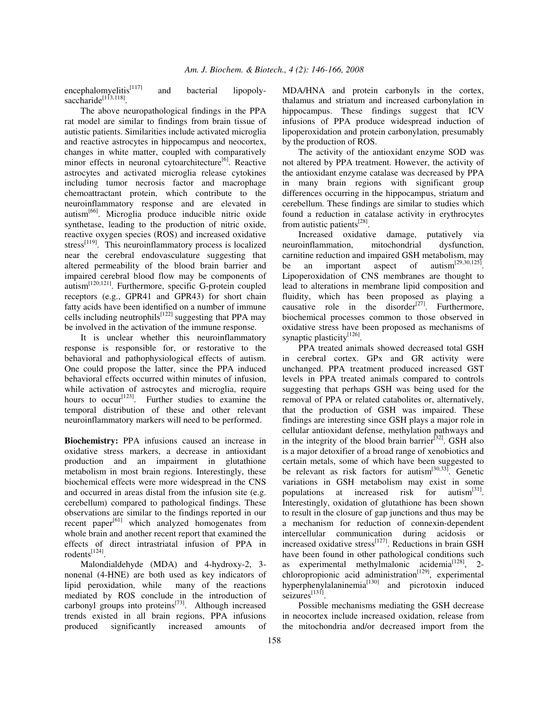encephalomyelitis<sup>[117]</sup> and bacterial lipopolysaccharide<sup>[113,118]</sup>.

The above neuropathological findings in the PPA rat model are similar to findings from brain tissue of autistic patients. Similarities include activated microglia and reactive astrocytes in hippocampus and neocortex, changes in white matter, coupled with comparatively minor effects in neuronal cytoarchitecture<sup>[6]</sup>. Reactive astrocytes and activated microglia release cytokines including tumor necrosis factor and macrophage chemoattractant protein, which contribute to the neuroinflammatory response and are elevated in autism<sup>[66]</sup>. Microglia produce inducible nitric oxide synthetase, leading to the production of nitric oxide, reactive oxygen species (ROS) and increased oxidative stress<sup>[119]</sup>. This neuroinflammatory process is localized near the cerebral endovasculature suggesting that altered permeability of the blood brain barrier and impaired cerebral blood flow may be components of autism<sup>[120;121]</sup>. Furthermore, specific G-protein coupled receptors (e.g., GPR41 and GPR43) for short chain fatty acids have been identified on a number of immune cells including neutrophils<sup>[122]</sup> suggesting that PPA may be involved in the activation of the immune response.

It is unclear whether this neuroinflammatory response is responsible for, or restorative to the behavioral and pathophysiological effects of autism. One could propose the latter, since the PPA induced behavioral effects occurred within minutes of infusion, while activation of astrocytes and microglia, require hours to occur<sup>[123]</sup>. Further studies to examine the temporal distribution of these and other relevant neuroinflammatory markers will need to be performed.

**Biochemistry:** PPA infusions caused an increase in oxidative stress markers, a decrease in antioxidant production and an impairment in glutathione metabolism in most brain regions. Interestingly, these biochemical effects were more widespread in the CNS and occurred in areas distal from the infusion site (e.g. cerebellum) compared to pathological findings. These observations are similar to the findings reported in our recent paper<sup>[61]</sup> which analyzed homogenates from whole brain and another recent report that examined the effects of direct intrastriatal infusion of PPA in rodents<sup>[124]</sup>.

Malondialdehyde (MDA) and 4-hydroxy-2, 3 nonenal (4-HNE) are both used as key indicators of lipid peroxidation, while many of the reactions mediated by ROS conclude in the introduction of carbonyl groups into proteins<sup>[73]</sup>. Although increased trends existed in all brain regions, PPA infusions produced significantly increased amounts of MDA/HNA and protein carbonyls in the cortex, thalamus and striatum and increased carbonylation in hippocampus. These findings suggest that ICV infusions of PPA produce widespread induction of lipoperoxidation and protein carbonylation, presumably by the production of ROS.

The activity of the antioxidant enzyme SOD was not altered by PPA treatment. However, the activity of the antioxidant enzyme catalase was decreased by PPA in many brain regions with significant group differences occurring in the hippocampus, striatum and cerebellum. These findings are similar to studies which found a reduction in catalase activity in erythrocytes from autistic patients<sup>[28]</sup>.

Increased oxidative damage, putatively via neuroinflammation, mitochondrial dysfunction, carnitine reduction and impaired GSH metabolism, may be an important aspect of [29,30,125] . Lipoperoxidation of CNS membranes are thought to lead to alterations in membrane lipid composition and fluidity, which has been proposed as playing a causative role in the disorder<sup>[27]</sup>. Furthermore, biochemical processes common to those observed in oxidative stress have been proposed as mechanisms of synaptic plasticity<sup>[126]</sup>.

PPA treated animals showed decreased total GSH in cerebral cortex. GPx and GR activity were unchanged. PPA treatment produced increased GST levels in PPA treated animals compared to controls suggesting that perhaps GSH was being used for the removal of PPA or related catabolites or, alternatively, that the production of GSH was impaired. These findings are interesting since GSH plays a major role in cellular antioxidant defense, methylation pathways and in the integrity of the blood brain barrier<sup>[32]</sup>. GSH also is a major detoxifier of a broad range of xenobiotics and certain metals, some of which have been suggested to be relevant as risk factors for autism<sup>[30,33]</sup>. Genetic variations in GSH metabolism may exist in some populations at increased risk for autism<sup>[31]</sup>. Interestingly, oxidation of glutathione has been shown to result in the closure of gap junctions and thus may be a mechanism for reduction of connexin-dependent intercellular communication during acidosis or increased oxidative stress<sup>[127]</sup>. Reductions in brain GSH have been found in other pathological conditions such as experimental methylmalonic acidemia<sup>[128]</sup>, 2chloropropionic acid administration<sup>[129]</sup>, experimental hyperphenylalaninemia<sup>[130]</sup> and picrotoxin induced seizures<sup>[131]</sup>.

Possible mechanisms mediating the GSH decrease in neocortex include increased oxidation, release from the mitochondria and/or decreased import from the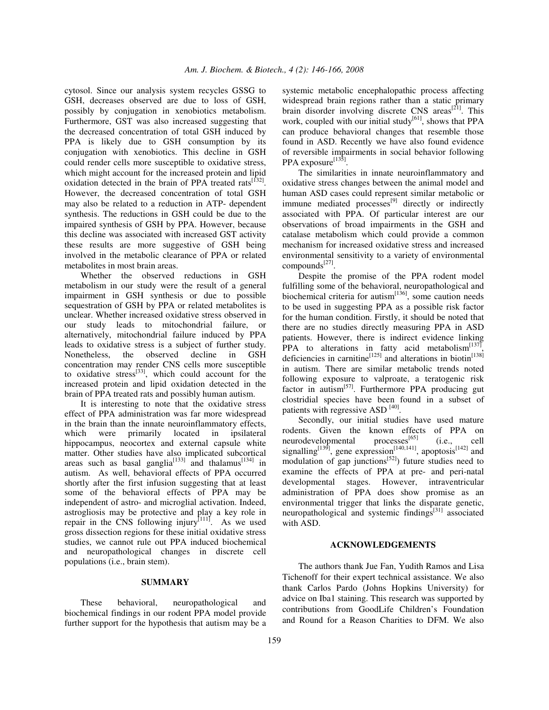cytosol. Since our analysis system recycles GSSG to GSH, decreases observed are due to loss of GSH, possibly by conjugation in xenobiotics metabolism. Furthermore, GST was also increased suggesting that the decreased concentration of total GSH induced by PPA is likely due to GSH consumption by its conjugation with xenobiotics. This decline in GSH could render cells more susceptible to oxidative stress, which might account for the increased protein and lipid oxidation detected in the brain of PPA treated rats<sup>[132]</sup>. However, the decreased concentration of total GSH may also be related to a reduction in ATP- dependent synthesis. The reductions in GSH could be due to the impaired synthesis of GSH by PPA. However, because this decline was associated with increased GST activity these results are more suggestive of GSH being involved in the metabolic clearance of PPA or related metabolites in most brain areas.

Whether the observed reductions in GSH metabolism in our study were the result of a general impairment in GSH synthesis or due to possible sequestration of GSH by PPA or related metabolites is unclear. Whether increased oxidative stress observed in our study leads to mitochondrial failure, or alternatively, mitochondrial failure induced by PPA leads to oxidative stress is a subject of further study. Nonetheless, the observed decline in GSH concentration may render CNS cells more susceptible to oxidative stress<sup>[33]</sup>, which could account for the increased protein and lipid oxidation detected in the brain of PPA treated rats and possibly human autism.

It is interesting to note that the oxidative stress effect of PPA administration was far more widespread in the brain than the innate neuroinflammatory effects, which were primarily located in ipsilateral hippocampus, neocortex and external capsule white matter. Other studies have also implicated subcortical areas such as basal ganglia<sup>[133]</sup> and thalamus<sup>[134]</sup> in autism. As well, behavioral effects of PPA occurred shortly after the first infusion suggesting that at least some of the behavioral effects of PPA may be independent of astro- and microglial activation. Indeed, astrogliosis may be protective and play a key role in repair in the CNS following injury<sup>[111]</sup>. As we used gross dissection regions for these initial oxidative stress studies, we cannot rule out PPA induced biochemical and neuropathological changes in discrete cell populations (i.e., brain stem).

#### **SUMMARY**

These behavioral, neuropathological and biochemical findings in our rodent PPA model provide further support for the hypothesis that autism may be a systemic metabolic encephalopathic process affecting widespread brain regions rather than a static primary brain disorder involving discrete CNS areas<sup>[21]</sup>. This work, coupled with our initial study<sup>[61]</sup>, shows that PPA can produce behavioral changes that resemble those found in ASD. Recently we have also found evidence of reversible impairments in social behavior following PPA exposure<sup>[135]</sup>.

The similarities in innate neuroinflammatory and oxidative stress changes between the animal model and human ASD cases could represent similar metabolic or immune mediated processes<sup>[9]</sup> directly or indirectly associated with PPA. Of particular interest are our observations of broad impairments in the GSH and catalase metabolism which could provide a common mechanism for increased oxidative stress and increased environmental sensitivity to a variety of environmental compounds<sup>[27]</sup>.

Despite the promise of the PPA rodent model fulfilling some of the behavioral, neuropathological and biochemical criteria for autism<sup>[136]</sup>, some caution needs to be used in suggesting PPA as a possible risk factor for the human condition. Firstly, it should be noted that there are no studies directly measuring PPA in ASD patients. However, there is indirect evidence linking PPA to alterations in fatty acid metabolism $[137]$ , deficiencies in carnitine<sup>[125]</sup> and alterations in biotin<sup>[138]</sup> in autism. There are similar metabolic trends noted following exposure to valproate, a teratogenic risk factor in autism<sup>[57]</sup>. Furthermore PPA producing gut clostridial species have been found in a subset of patients with regressive ASD<sup>[40]</sup>.

Secondly, our initial studies have used mature rodents. Given the known effects of PPA on neurodevelopmental processes<sup>[65]</sup> (i.e., cell  $processes^{[65]}$ signalling<sup>[139]</sup>, gene expression<sup>[140,141]</sup>, apoptosis<sup>[142]</sup> and modulation of gap junctions<sup>[52]</sup>) future studies need to examine the effects of PPA at pre- and peri-natal developmental stages. However, intraventricular administration of PPA does show promise as an environmental trigger that links the disparate genetic, neuropathological and systemic findings<sup>[31]</sup> associated with ASD.

#### **ACKNOWLEDGEMENTS**

The authors thank Jue Fan, Yudith Ramos and Lisa Tichenoff for their expert technical assistance. We also thank Carlos Pardo (Johns Hopkins University) for advice on Iba1 staining. This research was supported by contributions from GoodLife Children's Foundation and Round for a Reason Charities to DFM. We also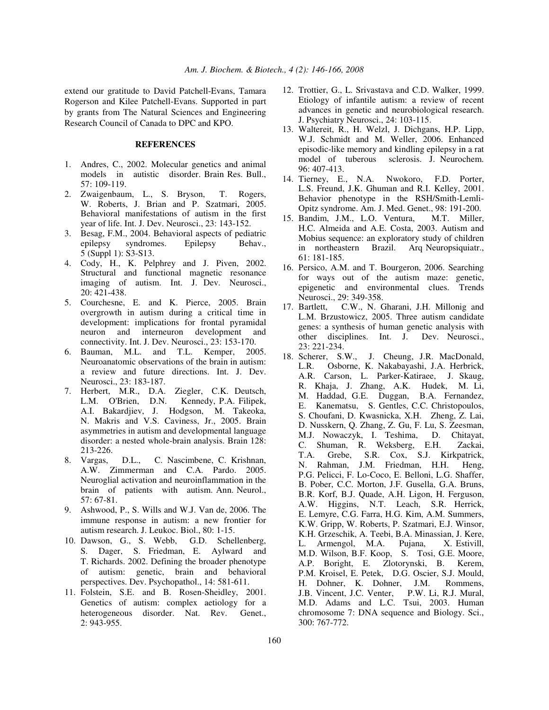extend our gratitude to David Patchell-Evans, Tamara Rogerson and Kilee Patchell-Evans. Supported in part by grants from The Natural Sciences and Engineering Research Council of Canada to DPC and KPO.

### **REFERENCES**

- 1. Andres, C., 2002. Molecular genetics and animal models in autistic disorder. Brain Res. Bull., 57: 109-119.
- 2. Zwaigenbaum, L., S. Bryson, T. Rogers, W. Roberts, J. Brian and P. Szatmari, 2005. Behavioral manifestations of autism in the first year of life. Int. J. Dev. Neurosci., 23: 143-152.
- 3. Besag, F.M., 2004. Behavioral aspects of pediatric epilepsy syndromes. Epilepsy Behav., 5 (Suppl 1): S3-S13.
- 4. Cody, H., K. Pelphrey and J. Piven, 2002. Structural and functional magnetic resonance imaging of autism. Int. J. Dev. Neurosci., 20: 421-438.
- 5. Courchesne, E. and K. Pierce, 2005. Brain overgrowth in autism during a critical time in development: implications for frontal pyramidal neuron and interneuron development and connectivity. Int. J. Dev. Neurosci., 23: 153-170.
- 6. Bauman, M.L. and T.L. Kemper, 2005. Neuroanatomic observations of the brain in autism: a review and future directions. Int. J. Dev. Neurosci., 23: 183-187.
- 7. Herbert, M.R., D.A. Ziegler, C.K. Deutsch, L.M. O'Brien, D.N. Kennedy, P.A. Filipek, A.I. Bakardjiev, J. Hodgson, M. Takeoka, N. Makris and V.S. Caviness, Jr., 2005. Brain asymmetries in autism and developmental language disorder: a nested whole-brain analysis. Brain 128: 213-226.
- 8. Vargas, D.L., C. Nascimbene, C. Krishnan, A.W. Zimmerman and C.A. Pardo. 2005. Neuroglial activation and neuroinflammation in the brain of patients with autism. Ann. Neurol., 57: 67-81.
- 9. Ashwood, P., S. Wills and W.J. Van de, 2006. The immune response in autism: a new frontier for autism research. J. Leukoc. Biol., 80: 1-15.
- 10. Dawson, G., S. Webb, G.D. Schellenberg, S. Dager, S. Friedman, E. Aylward and T. Richards. 2002. Defining the broader phenotype of autism: genetic, brain and behavioral perspectives. Dev. Psychopathol., 14: 581-611.
- 11. Folstein, S.E. and B. Rosen-Sheidley, 2001. Genetics of autism: complex aetiology for a heterogeneous disorder. Nat. Rev. Genet., 2: 943-955.
- 12. Trottier, G., L. Srivastava and C.D. Walker, 1999. Etiology of infantile autism: a review of recent advances in genetic and neurobiological research. J. Psychiatry Neurosci., 24: 103-115.
- 13. Waltereit, R., H. Welzl, J. Dichgans, H.P. Lipp, W.J. Schmidt and M. Weller, 2006. Enhanced episodic-like memory and kindling epilepsy in a rat model of tuberous sclerosis. J. Neurochem. 96: 407-413.
- 14. Tierney, E., N.A. Nwokoro, F.D. Porter, L.S. Freund, J.K. Ghuman and R.I. Kelley, 2001. Behavior phenotype in the RSH/Smith-Lemli-Opitz syndrome. Am. J. Med. Genet., 98: 191-200.
- 15. Bandim, J.M., L.O. Ventura, M.T. Miller, H.C. Almeida and A.E. Costa, 2003. Autism and Mobius sequence: an exploratory study of children in northeastern Brazil. Arq Neuropsiquiatr., 61: 181-185.
- 16. Persico, A.M. and T. Bourgeron, 2006. Searching for ways out of the autism maze: genetic, epigenetic and environmental clues. Trends Neurosci., 29: 349-358.
- 17. Bartlett, C.W., N. Gharani, J.H. Millonig and L.M. Brzustowicz, 2005. Three autism candidate genes: a synthesis of human genetic analysis with other disciplines. Int. J. Dev. Neurosci., 23: 221-234.
- 18. Scherer, S.W., J. Cheung, J.R. MacDonald, L.R. Osborne, K. Nakabayashi, J.A. Herbrick, A.R. Carson, L. Parker-Katiraee, J. Skaug, R. Khaja, J. Zhang, A.K. Hudek, M. Li, M. Haddad, G.E. Duggan, B.A. Fernandez, E. Kanematsu, S. Gentles, C.C. Christopoulos, S. Choufani, D. Kwasnicka, X.H. Zheng, Z. Lai, D. Nusskern, Q. Zhang, Z. Gu, F. Lu, S. Zeesman, M.J. Nowaczyk, I. Teshima, D. Chitayat, C. Shuman, R. Weksberg, E.H. Zackai, T.A. Grebe, S.R. Cox, S.J. Kirkpatrick, N. Rahman, J.M. Friedman, H.H. Heng, P.G. Pelicci, F. Lo-Coco, E. Belloni, L.G. Shaffer, B. Pober, C.C. Morton, J.F. Gusella, G.A. Bruns, B.R. Korf, B.J. Quade, A.H. Ligon, H. Ferguson, A.W. Higgins, N.T. Leach, S.R. Herrick, E. Lemyre, C.G. Farra, H.G. Kim, A.M. Summers, K.W. Gripp, W. Roberts, P. Szatmari, E.J. Winsor, K.H. Grzeschik, A. Teebi, B.A. Minassian, J. Kere, L. Armengol, M.A. Pujana, X. Estivill, M.D. Wilson, B.F. Koop, S. Tosi, G.E. Moore, A.P. Boright, E. Zlotorynski, B. Kerem, P.M. Kroisel, E. Petek, D.G. Oscier, S.J. Mould, H. Dohner, K. Dohner, J.M. Rommens, J.B. Vincent, J.C. Venter, P.W. Li, R.J. Mural, M.D. Adams and L.C. Tsui, 2003. Human chromosome 7: DNA sequence and Biology. Sci., 300: 767-772.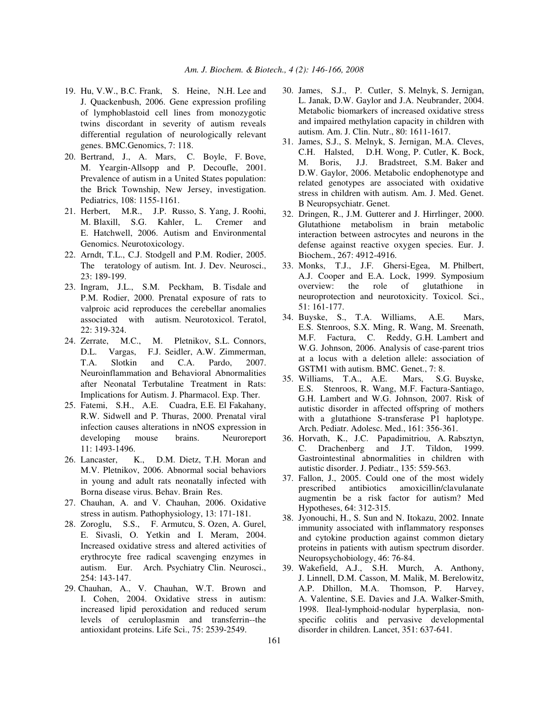- 19. Hu, V.W., B.C. Frank, S. Heine, N.H. Lee and J. Quackenbush, 2006. Gene expression profiling of lymphoblastoid cell lines from monozygotic twins discordant in severity of autism reveals differential regulation of neurologically relevant genes. BMC.Genomics, 7: 118.
- 20. Bertrand, J., A. Mars, C. Boyle, F. Bove, M. Yeargin-Allsopp and P. Decoufle, 2001. Prevalence of autism in a United States population: the Brick Township, New Jersey, investigation. Pediatrics, 108: 1155-1161.
- 21. Herbert, M.R., J.P. Russo, S. Yang, J. Roohi, M. Blaxill, S.G. Kahler, L. Cremer and E. Hatchwell, 2006. Autism and Environmental Genomics. Neurotoxicology.
- 22. Arndt, T.L., C.J. Stodgell and P.M. Rodier, 2005. The teratology of autism. Int. J. Dev. Neurosci., 23: 189-199.
- 23. Ingram, J.L., S.M. Peckham, B. Tisdale and P.M. Rodier, 2000. Prenatal exposure of rats to valproic acid reproduces the cerebellar anomalies associated with autism. Neurotoxicol. Teratol, 22: 319-324.
- 24. Zerrate, M.C., M. Pletnikov, S.L. Connors, D.L. Vargas, F.J. Seidler, A.W. Zimmerman, T.A. Slotkin and C.A. Pardo, 2007. Neuroinflammation and Behavioral Abnormalities after Neonatal Terbutaline Treatment in Rats: Implications for Autism. J. Pharmacol. Exp. Ther.
- 25. Fatemi, S.H., A.E. Cuadra, E.E. El Fakahany, R.W. Sidwell and P. Thuras, 2000. Prenatal viral infection causes alterations in nNOS expression in developing mouse brains. Neuroreport 11: 1493-1496.
- 26. Lancaster, K., D.M. Dietz, T.H. Moran and M.V. Pletnikov, 2006. Abnormal social behaviors in young and adult rats neonatally infected with Borna disease virus. Behav. Brain Res.
- 27. Chauhan, A. and V. Chauhan, 2006. Oxidative stress in autism. Pathophysiology, 13: 171-181.
- 28. Zoroglu, S.S., F. Armutcu, S. Ozen, A. Gurel, E. Sivasli, O. Yetkin and I. Meram, 2004. Increased oxidative stress and altered activities of erythrocyte free radical scavenging enzymes in autism. Eur. Arch. Psychiatry Clin. Neurosci., 254: 143-147.
- 29. Chauhan, A., V. Chauhan, W.T. Brown and I. Cohen, 2004. Oxidative stress in autism: increased lipid peroxidation and reduced serum levels of ceruloplasmin and transferrin--the antioxidant proteins. Life Sci., 75: 2539-2549.
- 30. James, S.J., P. Cutler, S. Melnyk, S. Jernigan, L. Janak, D.W. Gaylor and J.A. Neubrander, 2004. Metabolic biomarkers of increased oxidative stress and impaired methylation capacity in children with autism. Am. J. Clin. Nutr., 80: 1611-1617.
- 31. James, S.J., S. Melnyk, S. Jernigan, M.A. Cleves, C.H. Halsted, D.H. Wong, P. Cutler, K. Bock, M. Boris, J.J. Bradstreet, S.M. Baker and D.W. Gaylor, 2006. Metabolic endophenotype and related genotypes are associated with oxidative stress in children with autism. Am. J. Med. Genet. B Neuropsychiatr. Genet.
- 32. Dringen, R., J.M. Gutterer and J. Hirrlinger, 2000. Glutathione metabolism in brain metabolic interaction between astrocytes and neurons in the defense against reactive oxygen species. Eur. J. Biochem., 267: 4912-4916.
- 33. Monks, T.J., J.F. Ghersi-Egea, M. Philbert, A.J. Cooper and E.A. Lock, 1999. Symposium overview: the role of glutathione in neuroprotection and neurotoxicity. Toxicol. Sci., 51: 161-177.
- 34. Buyske, S., T.A. Williams, A.E. Mars, E.S. Stenroos, S.X. Ming, R. Wang, M. Sreenath, M.F. Factura, C. Reddy, G.H. Lambert and W.G. Johnson, 2006. Analysis of case-parent trios at a locus with a deletion allele: association of GSTM1 with autism. BMC. Genet., 7: 8.
- 35. Williams, T.A., A.E. Mars, S.G. Buyske, E.S. Stenroos, R. Wang, M.F. Factura-Santiago, G.H. Lambert and W.G. Johnson, 2007. Risk of autistic disorder in affected offspring of mothers with a glutathione S-transferase P1 haplotype. Arch. Pediatr. Adolesc. Med., 161: 356-361.
- 36. Horvath, K., J.C. Papadimitriou, A. Rabsztyn, C. Drachenberg and J.T. Tildon, 1999. Gastrointestinal abnormalities in children with autistic disorder. J. Pediatr., 135: 559-563.
- 37. Fallon, J., 2005. Could one of the most widely prescribed antibiotics amoxicillin/clavulanate augmentin be a risk factor for autism? Med Hypotheses, 64: 312-315.
- 38. Jyonouchi, H., S. Sun and N. Itokazu, 2002. Innate immunity associated with inflammatory responses and cytokine production against common dietary proteins in patients with autism spectrum disorder. Neuropsychobiology, 46: 76-84.
- 39. Wakefield, A.J., S.H. Murch, A. Anthony, J. Linnell, D.M. Casson, M. Malik, M. Berelowitz, A.P. Dhillon, M.A. Thomson, P. Harvey, A. Valentine, S.E. Davies and J.A. Walker-Smith, 1998. Ileal-lymphoid-nodular hyperplasia, nonspecific colitis and pervasive developmental disorder in children. Lancet, 351: 637-641.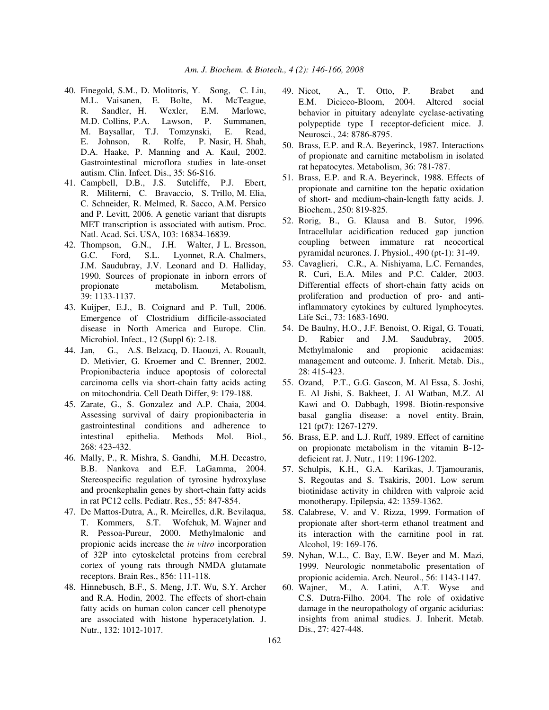- 40. Finegold, S.M., D. Molitoris, Y. Song, C. Liu, M.L. Vaisanen, E. Bolte, M. McTeague, R. Sandler, H. Wexler, E.M. Marlowe, M.D. Collins, P.A. Lawson, P. Summanen, M. Baysallar, T.J. Tomzynski, E. Read, E. Johnson, R. Rolfe, P. Nasir, H. Shah, D.A. Haake, P. Manning and A. Kaul, 2002. Gastrointestinal microflora studies in late-onset autism. Clin. Infect. Dis., 35: S6-S16.
- 41. Campbell, D.B., J.S. Sutcliffe, P.J. Ebert, R. Militerni, C. Bravaccio, S. Trillo, M. Elia, C. Schneider, R. Melmed, R. Sacco, A.M. Persico and P. Levitt, 2006. A genetic variant that disrupts MET transcription is associated with autism. Proc. Natl. Acad. Sci. USA, 103: 16834-16839.
- 42. Thompson, G.N., J.H. Walter, J L. Bresson, G.C. Ford, S.L. Lyonnet, R.A. Chalmers, J.M. Saudubray, J.V. Leonard and D. Halliday, 1990. Sources of propionate in inborn errors of propionate metabolism. Metabolism, 39: 1133-1137.
- 43. Kuijper, E.J., B. Coignard and P. Tull, 2006. Emergence of Clostridium difficile-associated disease in North America and Europe. Clin. Microbiol. Infect., 12 (Suppl 6): 2-18.
- 44. Jan, G., A.S. Belzacq, D. Haouzi, A. Rouault, D. Metivier, G. Kroemer and C. Brenner, 2002. Propionibacteria induce apoptosis of colorectal carcinoma cells via short-chain fatty acids acting on mitochondria. Cell Death Differ, 9: 179-188.
- 45. Zarate, G., S. Gonzalez and A.P. Chaia, 2004. Assessing survival of dairy propionibacteria in gastrointestinal conditions and adherence to intestinal epithelia. Methods Mol. Biol., 268: 423-432.
- 46. Mally, P., R. Mishra, S. Gandhi, M.H. Decastro, B.B. Nankova and E.F. LaGamma, 2004. Stereospecific regulation of tyrosine hydroxylase and proenkephalin genes by short-chain fatty acids in rat PC12 cells. Pediatr. Res., 55: 847-854.
- 47. De Mattos-Dutra, A., R. Meirelles, d.R. Bevilaqua, T. Kommers, S.T. Wofchuk, M. Wajner and R. Pessoa-Pureur, 2000. Methylmalonic and propionic acids increase the *in vitro* incorporation of 32P into cytoskeletal proteins from cerebral cortex of young rats through NMDA glutamate receptors. Brain Res., 856: 111-118.
- 48. Hinnebusch, B.F., S. Meng, J.T. Wu, S.Y. Archer and R.A. Hodin, 2002. The effects of short-chain fatty acids on human colon cancer cell phenotype are associated with histone hyperacetylation. J. Nutr., 132: 1012-1017.
- 49. Nicot, A., T. Otto, P. Brabet and E.M. Dicicco-Bloom, 2004. Altered social behavior in pituitary adenylate cyclase-activating polypeptide type I receptor-deficient mice. J. Neurosci., 24: 8786-8795.
- 50. Brass, E.P. and R.A. Beyerinck, 1987. Interactions of propionate and carnitine metabolism in isolated rat hepatocytes. Metabolism, 36: 781-787.
- 51. Brass, E.P. and R.A. Beyerinck, 1988. Effects of propionate and carnitine ton the hepatic oxidation of short- and medium-chain-length fatty acids. J. Biochem., 250: 819-825.
- 52. Rorig, B., G. Klausa and B. Sutor, 1996. Intracellular acidification reduced gap junction coupling between immature rat neocortical pyramidal neurones. J. Physiol., 490 (pt-1): 31-49.
- 53. Cavaglieri, C.R., A. Nishiyama, L.C. Fernandes, R. Curi, E.A. Miles and P.C. Calder, 2003. Differential effects of short-chain fatty acids on proliferation and production of pro- and antiinflammatory cytokines by cultured lymphocytes. Life Sci., 73: 1683-1690.
- 54. De Baulny, H.O., J.F. Benoist, O. Rigal, G. Touati, D. Rabier and J.M. Saudubray, 2005. Methylmalonic and propionic acidaemias: management and outcome. J. Inherit. Metab. Dis., 28: 415-423.
- 55. Ozand, P.T., G.G. Gascon, M. Al Essa, S. Joshi, E. Al Jishi, S. Bakheet, J. Al Watban, M.Z. Al Kawi and O. Dabbagh, 1998. Biotin-responsive basal ganglia disease: a novel entity. Brain, 121 (pt7): 1267-1279.
- 56. Brass, E.P. and L.J. Ruff, 1989. Effect of carnitine on propionate metabolism in the vitamin B-12 deficient rat. J. Nutr., 119: 1196-1202.
- 57. Schulpis, K.H., G.A. Karikas, J. Tjamouranis, S. Regoutas and S. Tsakiris, 2001. Low serum biotinidase activity in children with valproic acid monotherapy. Epilepsia, 42: 1359-1362.
- 58. Calabrese, V. and V. Rizza, 1999. Formation of propionate after short-term ethanol treatment and its interaction with the carnitine pool in rat. Alcohol, 19: 169-176.
- 59. Nyhan, W.L., C. Bay, E.W. Beyer and M. Mazi, 1999. Neurologic nonmetabolic presentation of propionic acidemia. Arch. Neurol., 56: 1143-1147.
- 60. Wajner, M., A. Latini, A.T. Wyse and C.S. Dutra-Filho. 2004. The role of oxidative damage in the neuropathology of organic acidurias: insights from animal studies. J. Inherit. Metab. Dis., 27: 427-448.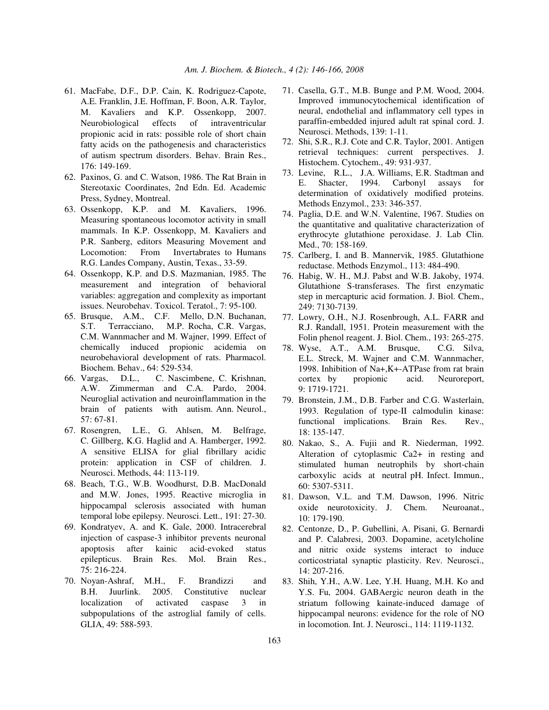- 61. MacFabe, D.F., D.P. Cain, K. Rodriguez-Capote, A.E. Franklin, J.E. Hoffman, F. Boon, A.R. Taylor, M. Kavaliers and K.P. Ossenkopp, 2007. Neurobiological effects of intraventricular propionic acid in rats: possible role of short chain fatty acids on the pathogenesis and characteristics of autism spectrum disorders. Behav. Brain Res., 176: 149-169.
- 62. Paxinos, G. and C. Watson, 1986. The Rat Brain in Stereotaxic Coordinates, 2nd Edn. Ed. Academic Press, Sydney, Montreal.
- 63. Ossenkopp, K.P. and M. Kavaliers, 1996. Measuring spontaneous locomotor activity in small mammals. In K.P. Ossenkopp, M. Kavaliers and P.R. Sanberg, editors Measuring Movement and Locomotion: From Invertabrates to Humans R.G. Landes Company, Austin, Texas., 33-59.
- 64. Ossenkopp, K.P. and D.S. Mazmanian, 1985. The measurement and integration of behavioral variables: aggregation and complexity as important issues. Neurobehav. Toxicol. Teratol., 7: 95-100.
- 65. Brusque, A.M., C.F. Mello, D.N. Buchanan, S.T. Terracciano, M.P. Rocha, C.R. Vargas, C.M. Wannmacher and M. Wajner, 1999. Effect of chemically induced propionic acidemia on neurobehavioral development of rats. Pharmacol. Biochem. Behav., 64: 529-534.
- 66. Vargas, D.L., C. Nascimbene, C. Krishnan, A.W. Zimmerman and C.A. Pardo, 2004. Neuroglial activation and neuroinflammation in the brain of patients with autism. Ann. Neurol., 57: 67-81.
- 67. Rosengren, L.E., G. Ahlsen, M. Belfrage, C. Gillberg, K.G. Haglid and A. Hamberger, 1992. A sensitive ELISA for glial fibrillary acidic protein: application in CSF of children. J. Neurosci. Methods, 44: 113-119.
- 68. Beach, T.G., W.B. Woodhurst, D.B. MacDonald and M.W. Jones, 1995. Reactive microglia in hippocampal sclerosis associated with human temporal lobe epilepsy. Neurosci. Lett., 191: 27-30.
- 69. Kondratyev, A. and K. Gale, 2000. Intracerebral injection of caspase-3 inhibitor prevents neuronal apoptosis after kainic acid-evoked status epilepticus. Brain Res. Mol. Brain Res., 75: 216-224.
- 70. Noyan-Ashraf, M.H., F. Brandizzi and B.H. Juurlink. 2005. Constitutive nuclear localization of activated caspase 3 in subpopulations of the astroglial family of cells. GLIA, 49: 588-593.
- 71. Casella, G.T., M.B. Bunge and P.M. Wood, 2004. Improved immunocytochemical identification of neural, endothelial and inflammatory cell types in paraffin-embedded injured adult rat spinal cord. J. Neurosci. Methods, 139: 1-11.
- 72. Shi, S.R., R.J. Cote and C.R. Taylor, 2001. Antigen retrieval techniques: current perspectives. J. Histochem. Cytochem., 49: 931-937.
- 73. Levine, R.L., J.A. Williams, E.R. Stadtman and E. Shacter, 1994. Carbonyl assays for determination of oxidatively modified proteins. Methods Enzymol., 233: 346-357.
- 74. Paglia, D.E. and W.N. Valentine, 1967. Studies on the quantitative and qualitative characterization of erythrocyte glutathione peroxidase. J. Lab Clin. Med., 70: 158-169.
- 75. Carlberg, I. and B. Mannervik, 1985. Glutathione reductase. Methods Enzymol., 113: 484-490.
- 76. Habig, W. H., M.J. Pabst and W.B. Jakoby, 1974. Glutathione S-transferases. The first enzymatic step in mercapturic acid formation. J. Biol. Chem., 249: 7130-7139.
- 77. Lowry, O.H., N.J. Rosenbrough, A.L. FARR and R.J. Randall, 1951. Protein measurement with the Folin phenol reagent. J. Biol. Chem., 193: 265-275.
- 78. Wyse, A.T., A.M. Brusque, C.G. Silva, E.L. Streck, M. Wajner and C.M. Wannmacher, 1998. Inhibition of Na+,K+-ATPase from rat brain cortex by propionic acid. Neuroreport, 9: 1719-1721.
- 79. Bronstein, J.M., D.B. Farber and C.G. Wasterlain, 1993. Regulation of type-II calmodulin kinase: functional implications. Brain Res. Rev., 18: 135-147.
- 80. Nakao, S., A. Fujii and R. Niederman, 1992. Alteration of cytoplasmic Ca2+ in resting and stimulated human neutrophils by short-chain carboxylic acids at neutral pH. Infect. Immun., 60: 5307-5311.
- 81. Dawson, V.L. and T.M. Dawson, 1996. Nitric oxide neurotoxicity. J. Chem. Neuroanat., 10: 179-190.
- 82. Centonze, D., P. Gubellini, A. Pisani, G. Bernardi and P. Calabresi, 2003. Dopamine, acetylcholine and nitric oxide systems interact to induce corticostriatal synaptic plasticity. Rev. Neurosci., 14: 207-216.
- 83. Shih, Y.H., A.W. Lee, Y.H. Huang, M.H. Ko and Y.S. Fu, 2004. GABAergic neuron death in the striatum following kainate-induced damage of hippocampal neurons: evidence for the role of NO in locomotion. Int. J. Neurosci., 114: 1119-1132.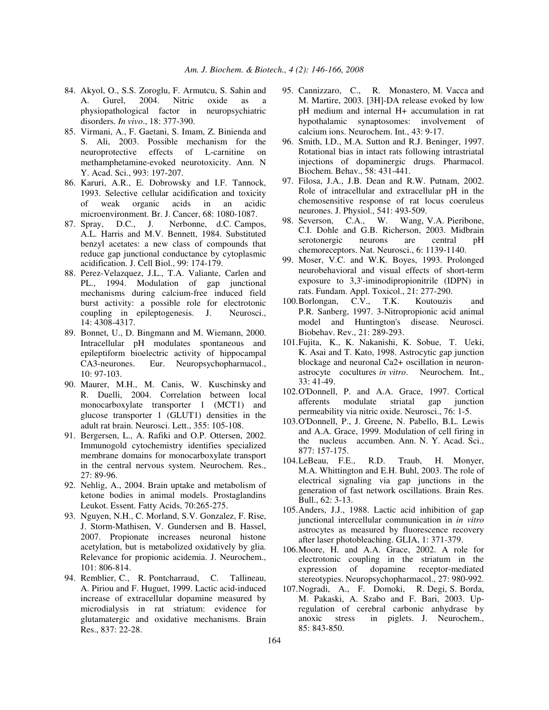- 84. Akyol, O., S.S. Zoroglu, F. Armutcu, S. Sahin and A. Gurel, 2004. Nitric oxide as a physiopathological factor in neuropsychiatric disorders. *In vivo*., 18: 377-390.
- 85. Virmani, A., F. Gaetani, S. Imam, Z. Binienda and S. Ali, 2003. Possible mechanism for the neuroprotective effects of L-carnitine on methamphetamine-evoked neurotoxicity. Ann. N Y. Acad. Sci., 993: 197-207.
- 86. Karuri, A.R., E. Dobrowsky and I.F. Tannock, 1993. Selective cellular acidification and toxicity<br>of weak organic acids in an acidic of weak organic acids in an acidic microenvironment. Br. J. Cancer, 68: 1080-1087.
- 87. Spray, D.C., J. Nerbonne, d.C. Campos, A.L. Harris and M.V. Bennett, 1984. Substituted benzyl acetates: a new class of compounds that reduce gap junctional conductance by cytoplasmic acidification. J. Cell Biol., 99: 174-179.
- 88. Perez-Velazquez, J.L., T.A. Valiante, Carlen and PL., 1994. Modulation of gap junctional mechanisms during calcium-free induced field burst activity: a possible role for electrotonic coupling in epileptogenesis. J. Neurosci., 14: 4308-4317.
- 89. Bonnet, U., D. Bingmann and M. Wiemann, 2000. Intracellular pH modulates spontaneous and epileptiform bioelectric activity of hippocampal CA3-neurones. Eur. Neuropsychopharmacol., 10: 97-103.
- 90. Maurer, M.H., M. Canis, W. Kuschinsky and R. Duelli, 2004. Correlation between local monocarboxylate transporter 1 (MCT1) and glucose transporter 1 (GLUT1) densities in the adult rat brain. Neurosci. Lett., 355: 105-108.
- 91. Bergersen, L., A. Rafiki and O.P. Ottersen, 2002. Immunogold cytochemistry identifies specialized membrane domains for monocarboxylate transport in the central nervous system. Neurochem. Res., 27: 89-96.
- 92. Nehlig, A., 2004. Brain uptake and metabolism of ketone bodies in animal models. Prostaglandins Leukot. Essent. Fatty Acids, 70:265-275.
- 93. Nguyen, N.H., C. Morland, S.V. Gonzalez, F. Rise, J. Storm-Mathisen, V. Gundersen and B. Hassel, 2007. Propionate increases neuronal histone acetylation, but is metabolized oxidatively by glia. Relevance for propionic acidemia. J. Neurochem., 101: 806-814.
- 94. Remblier, C., R. Pontcharraud, C. Tallineau, A. Piriou and F. Huguet, 1999. Lactic acid-induced increase of extracellular dopamine measured by microdialysis in rat striatum: evidence for glutamatergic and oxidative mechanisms. Brain Res., 837: 22-28.
- 95. Cannizzaro, C., R. Monastero, M. Vacca and M. Martire, 2003. [3H]-DA release evoked by low pH medium and internal H+ accumulation in rat hypothalamic synaptosomes: involvement of calcium ions. Neurochem. Int., 43: 9-17.
- 96. Smith, I.D., M.A. Sutton and R.J. Beninger, 1997. Rotational bias in intact rats following intrastriatal injections of dopaminergic drugs. Pharmacol. Biochem. Behav., 58: 431-441.
- 97. Filosa, J.A., J.B. Dean and R.W. Putnam, 2002. Role of intracellular and extracellular pH in the chemosensitive response of rat locus coeruleus neurones. J. Physiol., 541: 493-509.
- 98. Severson, C.A., W. Wang, V.A. Pieribone, C.I. Dohle and G.B. Richerson, 2003. Midbrain serotonergic neurons are central pH chemoreceptors. Nat. Neurosci., 6: 1139-1140.
- 99. Moser, V.C. and W.K. Boyes, 1993. Prolonged neurobehavioral and visual effects of short-term exposure to 3,3'-iminodipropionitrile (IDPN) in rats. Fundam. Appl. Toxicol., 21: 277-290.
- 100.Borlongan, C.V., T.K. Koutouzis and P.R. Sanberg, 1997. 3-Nitropropionic acid animal model and Huntington's disease. Neurosci. Biobehav. Rev., 21: 289-293.
- 101.Fujita, K., K. Nakanishi, K. Sobue, T. Ueki, K. Asai and T. Kato, 1998. Astrocytic gap junction blockage and neuronal Ca2+ oscillation in neuronastrocyte cocultures *in vitro*. Neurochem. Int., 33: 41-49.
- 102.O'Donnell, P. and A.A. Grace, 1997. Cortical afferents modulate striatal gap junction permeability via nitric oxide. Neurosci., 76: 1-5.
- 103.O'Donnell, P., J. Greene, N. Pabello, B.L. Lewis and A.A. Grace, 1999. Modulation of cell firing in the nucleus accumben. Ann. N. Y. Acad. Sci., 877: 157-175.
- 104.LeBeau, F.E., R.D. Traub, H. Monyer, M.A. Whittington and E.H. Buhl, 2003. The role of electrical signaling via gap junctions in the generation of fast network oscillations. Brain Res. Bull., 62: 3-13.
- 105.Anders, J.J., 1988. Lactic acid inhibition of gap junctional intercellular communication in *in vitro* astrocytes as measured by fluorescence recovery after laser photobleaching. GLIA, 1: 371-379.
- 106.Moore, H. and A.A. Grace, 2002. A role for electrotonic coupling in the striatum in the expression of dopamine receptor-mediated stereotypies. Neuropsychopharmacol., 27: 980-992.
- 107.Nogradi, A., F. Domoki, R. Degi, S. Borda, M. Pakaski, A. Szabo and F. Bari, 2003. Upregulation of cerebral carbonic anhydrase by anoxic stress in piglets. J. Neurochem., 85: 843-850.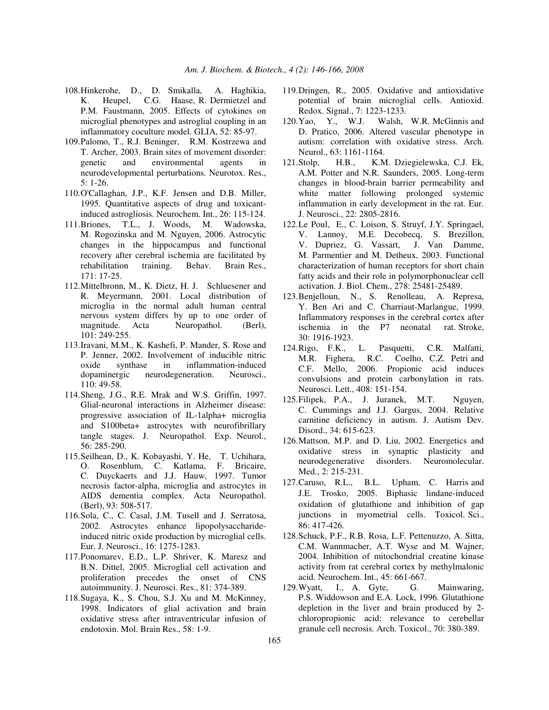- 108.Hinkerohe, D., D. Smikalla, A. Haghikia, K. Heupel, C.G. Haase, R. Dermietzel and P.M. Faustmann, 2005. Effects of cytokines on microglial phenotypes and astroglial coupling in an inflammatory coculture model. GLIA, 52: 85-97.
- 109.Palomo, T., R.J. Beninger, R.M. Kostrzewa and T. Archer, 2003. Brain sites of movement disorder: genetic and environmental agents in neurodevelopmental perturbations. Neurotox. Res., 5: 1-26.
- 110.O'Callaghan, J.P., K.F. Jensen and D.B. Miller, 1995. Quantitative aspects of drug and toxicantinduced astrogliosis. Neurochem. Int., 26: 115-124.
- 111.Briones, T.L., J. Woods, M. Wadowska, M. Rogozinska and M. Nguyen, 2006. Astrocytic changes in the hippocampus and functional recovery after cerebral ischemia are facilitated by<br>rehabilitation training. Behav. Brain Res.. rehabilitation training. Behav. Brain Res., 171: 17-25.
- 112.Mittelbronn, M., K. Dietz, H. J. Schluesener and R. Meyermann, 2001. Local distribution of microglia in the normal adult human central nervous system differs by up to one order of magnitude. Acta Neuropathol. (Berl), 101: 249-255.
- 113.Iravani, M.M., K. Kashefi, P. Mander, S. Rose and P. Jenner, 2002. Involvement of inducible nitric oxide synthase in inflammation-induced dopaminergic neurodegeneration. Neurosci., 110: 49-58.
- 114.Sheng, J.G., R.E. Mrak and W.S. Griffin, 1997. Glial-neuronal interactions in Alzheimer disease: progressive association of IL-1alpha+ microglia and S100beta+ astrocytes with neurofibrillary tangle stages. J. Neuropathol. Exp. Neurol., 56: 285-290.
- 115.Seilhean, D., K. Kobayashi, Y. He, T. Uchihara, O. Rosenblum, C. Katlama, F. Bricaire, C. Duyckaerts and J.J. Hauw, 1997. Tumor necrosis factor-alpha, microglia and astrocytes in AIDS dementia complex. Acta Neuropathol. (Berl), 93: 508-517.
- 116.Sola, C., C. Casal, J.M. Tusell and J. Serratosa, 2002. Astrocytes enhance lipopolysaccharideinduced nitric oxide production by microglial cells. Eur. J. Neurosci., 16: 1275-1283.
- 117.Ponomarev, E.D., L.P. Shriver, K. Maresz and B.N. Dittel, 2005. Microglial cell activation and proliferation precedes the onset of CNS autoimmunity. J. Neurosci. Res., 81: 374-389.
- 118.Sugaya, K., S. Chou, S.J. Xu and M. McKinney, 1998. Indicators of glial activation and brain oxidative stress after intraventricular infusion of endotoxin. Mol. Brain Res., 58: 1-9.
- 119.Dringen, R., 2005. Oxidative and antioxidative potential of brain microglial cells. Antioxid. Redox. Signal., 7: 1223-1233.
- 120.Yao, Y., W.J. Walsh, W.R. McGinnis and D. Pratico, 2006. Altered vascular phenotype in autism: correlation with oxidative stress. Arch. Neurol., 63: 1161-1164.
- 121.Stolp, H.B., K.M. Dziegielewska, C.J. Ek, A.M. Potter and N.R. Saunders, 2005. Long-term changes in blood-brain barrier permeability and white matter following prolonged systemic inflammation in early development in the rat. Eur. J. Neurosci., 22: 2805-2816.
- 122.Le Poul, E., C. Loison, S. Struyf, J.Y. Springael, V. Lannoy, M.E. Decobecq, S. Brezillon, V. Dupriez, G. Vassart, J. Van Damme, M. Parmentier and M. Detheux, 2003. Functional characterization of human receptors for short chain fatty acids and their role in polymorphonuclear cell activation. J. Biol. Chem., 278: 25481-25489.
- 123.Benjelloun, N., S. Renolleau, A. Represa, Y. Ben Ari and C. Charriaut-Marlangue, 1999. Inflammatory responses in the cerebral cortex after ischemia in the P7 neonatal rat. Stroke, 30: 1916-1923.
- 124. Rigo, F.K., L. Pasquetti, C.R. Malfatti, M.R. Fighera, R.C. Coelho, C.Z. Petri and C.F. Mello, 2006. Propionic acid induces convulsions and protein carbonylation in rats. Neurosci. Lett., 408: 151-154.
- 125.Filipek, P.A., J. Juranek, M.T. Nguyen, C. Cummings and J.J. Gargus, 2004. Relative carnitine deficiency in autism. J. Autism Dev. Disord., 34: 615-623.
- 126.Mattson, M.P. and D. Liu, 2002. Energetics and oxidative stress in synaptic plasticity and neurodegenerative disorders. Neuromolecular. Med., 2: 215-231.
- 127.Caruso, R.L., B.L. Upham, C. Harris and J.E. Trosko, 2005. Biphasic lindane-induced oxidation of glutathione and inhibition of gap junctions in myometrial cells. Toxicol. Sci., 86: 417-426.
- 128.Schuck, P.F., R.B. Rosa, L.F. Pettenuzzo, A. Sitta, C.M. Wannmacher, A.T. Wyse and M. Wajner, 2004. Inhibition of mitochondrial creatine kinase activity from rat cerebral cortex by methylmalonic acid. Neurochem. Int., 45: 661-667.
- 129.Wyatt, I., A. Gyte, G. Mainwaring, P.S. Widdowson and E.A. Lock, 1996. Glutathione depletion in the liver and brain produced by 2 chloropropionic acid: relevance to cerebellar granule cell necrosis. Arch. Toxicol., 70: 380-389.